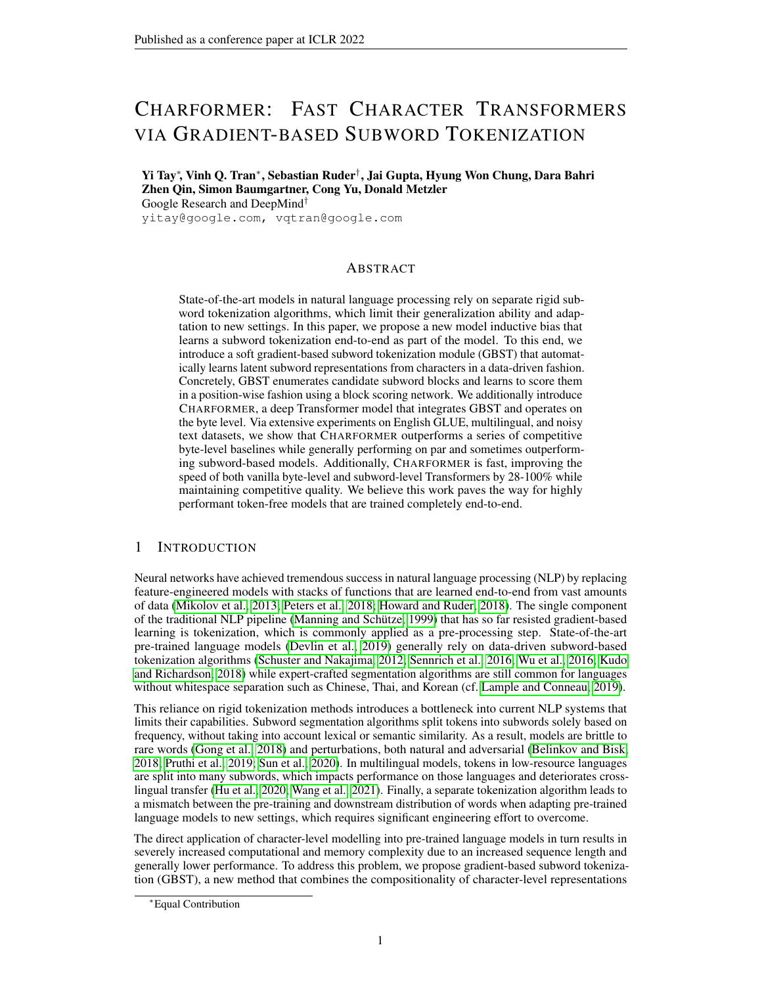# CHARFORMER: FAST CHARACTER TRANSFORMERS VIA GRADIENT-BASED SUBWORD TOKENIZATION

Yi Tay<sup>∗</sup> , Vinh Q. Tran<sup>∗</sup> , Sebastian Ruder† , Jai Gupta, Hyung Won Chung, Dara Bahri Zhen Qin, Simon Baumgartner, Cong Yu, Donald Metzler Google Research and DeepMind†

yitay@google.com, vqtran@google.com

# ABSTRACT

State-of-the-art models in natural language processing rely on separate rigid subword tokenization algorithms, which limit their generalization ability and adaptation to new settings. In this paper, we propose a new model inductive bias that learns a subword tokenization end-to-end as part of the model. To this end, we introduce a soft gradient-based subword tokenization module (GBST) that automatically learns latent subword representations from characters in a data-driven fashion. Concretely, GBST enumerates candidate subword blocks and learns to score them in a position-wise fashion using a block scoring network. We additionally introduce CHARFORMER, a deep Transformer model that integrates GBST and operates on the byte level. Via extensive experiments on English GLUE, multilingual, and noisy text datasets, we show that CHARFORMER outperforms a series of competitive byte-level baselines while generally performing on par and sometimes outperforming subword-based models. Additionally, CHARFORMER is fast, improving the speed of both vanilla byte-level and subword-level Transformers by 28-100% while maintaining competitive quality. We believe this work paves the way for highly performant token-free models that are trained completely end-to-end.

# 1 INTRODUCTION

Neural networks have achieved tremendous success in natural language processing (NLP) by replacing feature-engineered models with stacks of functions that are learned end-to-end from vast amounts of data [\(Mikolov et al., 2013;](#page-12-0) [Peters et al., 2018;](#page-12-1) [Howard and Ruder, 2018\)](#page-11-0). The single component of the traditional NLP pipeline [\(Manning and Schütze, 1999\)](#page-12-2) that has so far resisted gradient-based learning is tokenization, which is commonly applied as a pre-processing step. State-of-the-art pre-trained language models [\(Devlin et al., 2019\)](#page-10-0) generally rely on data-driven subword-based tokenization algorithms [\(Schuster and Nakajima, 2012;](#page-12-3) [Sennrich et al., 2016;](#page-12-4) [Wu et al., 2016;](#page-13-0) [Kudo](#page-11-1) [and Richardson, 2018\)](#page-11-1) while expert-crafted segmentation algorithms are still common for languages without whitespace separation such as Chinese, Thai, and Korean (cf. [Lample and Conneau, 2019\)](#page-11-2).

This reliance on rigid tokenization methods introduces a bottleneck into current NLP systems that limits their capabilities. Subword segmentation algorithms split tokens into subwords solely based on frequency, without taking into account lexical or semantic similarity. As a result, models are brittle to rare words [\(Gong et al., 2018\)](#page-10-1) and perturbations, both natural and adversarial [\(Belinkov and Bisk,](#page-9-0) [2018;](#page-9-0) [Pruthi et al., 2019;](#page-12-5) [Sun et al., 2020\)](#page-13-1). In multilingual models, tokens in low-resource languages are split into many subwords, which impacts performance on those languages and deteriorates crosslingual transfer [\(Hu et al., 2020;](#page-11-3) [Wang et al., 2021\)](#page-13-2). Finally, a separate tokenization algorithm leads to a mismatch between the pre-training and downstream distribution of words when adapting pre-trained language models to new settings, which requires significant engineering effort to overcome.

The direct application of character-level modelling into pre-trained language models in turn results in severely increased computational and memory complexity due to an increased sequence length and generally lower performance. To address this problem, we propose gradient-based subword tokenization (GBST), a new method that combines the compositionality of character-level representations

<sup>∗</sup>Equal Contribution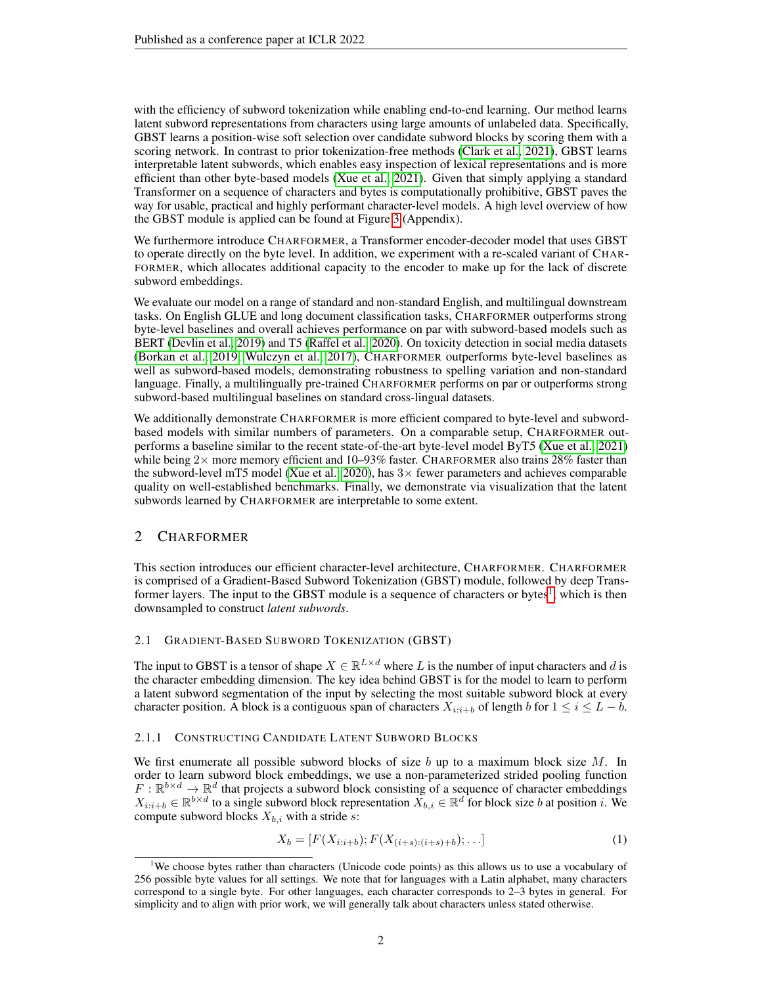with the efficiency of subword tokenization while enabling end-to-end learning. Our method learns latent subword representations from characters using large amounts of unlabeled data. Specifically, GBST learns a position-wise soft selection over candidate subword blocks by scoring them with a scoring network. In contrast to prior tokenization-free methods [\(Clark et al., 2021\)](#page-10-2), GBST learns interpretable latent subwords, which enables easy inspection of lexical representations and is more efficient than other byte-based models [\(Xue et al., 2021\)](#page-14-0). Given that simply applying a standard Transformer on a sequence of characters and bytes is computationally prohibitive, GBST paves the way for usable, practical and highly performant character-level models. A high level overview of how the GBST module is applied can be found at Figure [3](#page-15-0) (Appendix).

We furthermore introduce CHARFORMER, a Transformer encoder-decoder model that uses GBST to operate directly on the byte level. In addition, we experiment with a re-scaled variant of CHAR-FORMER, which allocates additional capacity to the encoder to make up for the lack of discrete subword embeddings.

We evaluate our model on a range of standard and non-standard English, and multilingual downstream tasks. On English GLUE and long document classification tasks, CHARFORMER outperforms strong byte-level baselines and overall achieves performance on par with subword-based models such as BERT [\(Devlin et al., 2019\)](#page-10-0) and T5 [\(Raffel et al., 2020\)](#page-12-6). On toxicity detection in social media datasets [\(Borkan et al., 2019;](#page-9-1) [Wulczyn et al., 2017\)](#page-13-3), CHARFORMER outperforms byte-level baselines as well as subword-based models, demonstrating robustness to spelling variation and non-standard language. Finally, a multilingually pre-trained CHARFORMER performs on par or outperforms strong subword-based multilingual baselines on standard cross-lingual datasets.

We additionally demonstrate CHARFORMER is more efficient compared to byte-level and subwordbased models with similar numbers of parameters. On a comparable setup, CHARFORMER outperforms a baseline similar to the recent state-of-the-art byte-level model ByT5 [\(Xue et al., 2021\)](#page-14-0) while being  $2\times$  more memory efficient and 10–93% faster. CHARFORMER also trains 28% faster than the subword-level mT5 model [\(Xue et al., 2020\)](#page-13-4), has  $3\times$  fewer parameters and achieves comparable quality on well-established benchmarks. Finally, we demonstrate via visualization that the latent subwords learned by CHARFORMER are interpretable to some extent.

# 2 CHARFORMER

This section introduces our efficient character-level architecture, CHARFORMER. CHARFORMER is comprised of a Gradient-Based Subword Tokenization (GBST) module, followed by deep Trans-former layers. The input to the GBST module is a sequence of characters or bytes<sup>[1](#page-1-0)</sup>, which is then downsampled to construct *latent subwords*.

## 2.1 GRADIENT-BASED SUBWORD TOKENIZATION (GBST)

The input to GBST is a tensor of shape  $X \in \mathbb{R}^{L \times d}$  where L is the number of input characters and d is the character embedding dimension. The key idea behind GBST is for the model to learn to perform a latent subword segmentation of the input by selecting the most suitable subword block at every character position. A block is a contiguous span of characters  $X_{i:i+b}$  of length b for  $1 \le i \le L - b$ .

## <span id="page-1-1"></span>2.1.1 CONSTRUCTING CANDIDATE LATENT SUBWORD BLOCKS

We first enumerate all possible subword blocks of size b up to a maximum block size  $M$ . In order to learn subword block embeddings, we use a non-parameterized strided pooling function  $F: \mathbb{R}^{b \times d} \to \mathbb{R}^d$  that projects a subword block consisting of a sequence of character embeddings  $X_{i:i+b} \in \mathbb{R}^{b \times d}$  to a single subword block representation  $\overline{X}_{b,i} \in \mathbb{R}^d$  for block size b at position i. We compute subword blocks  $X_{b,i}$  with a stride s:

$$
X_b = [F(X_{i:i+b}); F(X_{(i+s):(i+s)+b});...]
$$
\n(1)

<span id="page-1-0"></span><sup>&</sup>lt;sup>1</sup>We choose bytes rather than characters (Unicode code points) as this allows us to use a vocabulary of 256 possible byte values for all settings. We note that for languages with a Latin alphabet, many characters correspond to a single byte. For other languages, each character corresponds to 2–3 bytes in general. For simplicity and to align with prior work, we will generally talk about characters unless stated otherwise.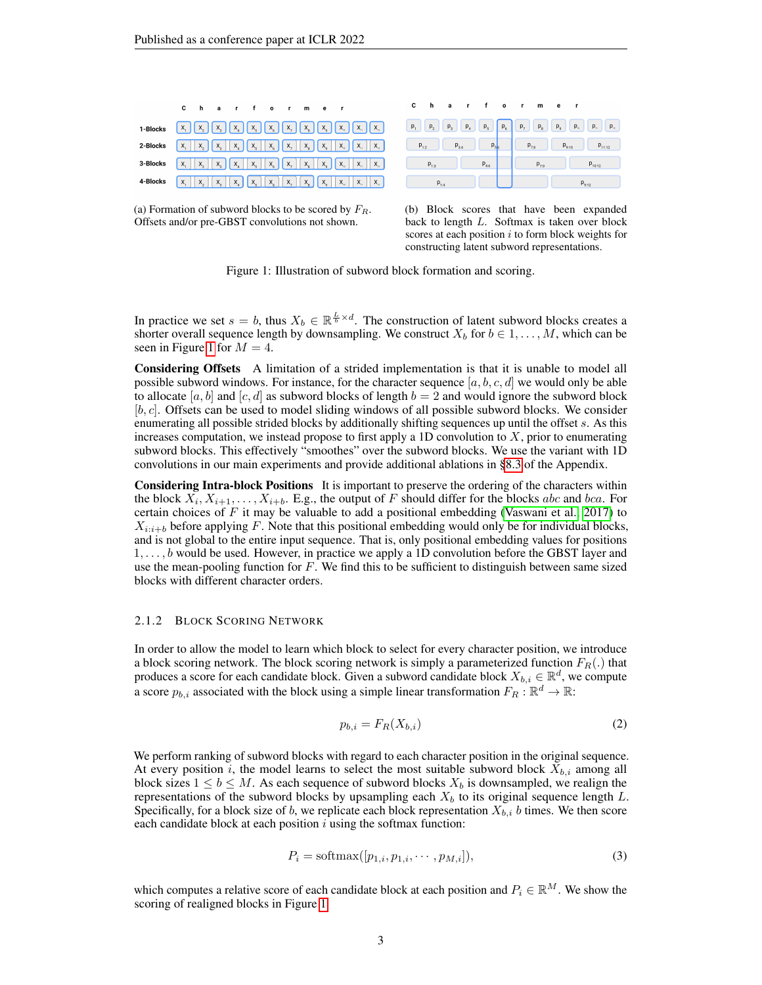

<span id="page-2-0"></span>

(a) Formation of subword blocks to be scored by  $F_R$ . Offsets and/or pre-GBST convolutions not shown.



Figure 1: Illustration of subword block formation and scoring.

In practice we set  $s = b$ , thus  $X_b \in \mathbb{R}^{\frac{L}{b} \times d}$ . The construction of latent subword blocks creates a shorter overall sequence length by downsampling. We construct  $X_b$  for  $b \in 1, \ldots, M$ , which can be seen in Figure [1](#page-2-0) for  $M = 4$ .

Considering Offsets A limitation of a strided implementation is that it is unable to model all possible subword windows. For instance, for the character sequence [a, b, c, d] we would only be able to allocate [a, b] and [c, d] as subword blocks of length  $b = 2$  and would ignore the subword block  $[b, c]$ . Offsets can be used to model sliding windows of all possible subword blocks. We consider enumerating all possible strided blocks by additionally shifting sequences up until the offset s. As this increases computation, we instead propose to first apply a 1D convolution to  $X$ , prior to enumerating subword blocks. This effectively "smoothes" over the subword blocks. We use the variant with 1D convolutions in our main experiments and provide additional ablations in [§8.3](#page-16-0) of the Appendix.

Considering Intra-block Positions It is important to preserve the ordering of the characters within the block  $X_i, X_{i+1}, \ldots, X_{i+b}$ . E.g., the output of F should differ for the blocks abc and bca. For certain choices of  $F$  it may be valuable to add a positional embedding [\(Vaswani et al., 2017\)](#page-13-5) to  $X_{i:i+b}$  before applying F. Note that this positional embedding would only be for individual blocks, and is not global to the entire input sequence. That is, only positional embedding values for positions 1, . . . , b would be used. However, in practice we apply a 1D convolution before the GBST layer and use the mean-pooling function for  $F$ . We find this to be sufficient to distinguish between same sized blocks with different character orders.

#### 2.1.2 BLOCK SCORING NETWORK

In order to allow the model to learn which block to select for every character position, we introduce a block scoring network. The block scoring network is simply a parameterized function  $F_R(.)$  that produces a score for each candidate block. Given a subword candidate block  $X_{b,i} \in \mathbb{R}^d$ , we compute a score  $p_{b,i}$  associated with the block using a simple linear transformation  $F_R : \mathbb{R}^d \to \mathbb{R}$ :

$$
p_{b,i} = F_R(X_{b,i})
$$
\n<sup>(2)</sup>

We perform ranking of subword blocks with regard to each character position in the original sequence. At every position i, the model learns to select the most suitable subword block  $X_{b,i}$  among all block sizes  $1 \leq b \leq M$ . As each sequence of subword blocks  $X_b$  is downsampled, we realign the representations of the subword blocks by upsampling each  $X_b$  to its original sequence length  $L$ . Specifically, for a block size of b, we replicate each block representation  $X_{b,i}$  b times. We then score each candidate block at each position  $i$  using the softmax function:

$$
P_i = \text{softmax}([p_{1,i}, p_{1,i}, \cdots, p_{M,i}]),\tag{3}
$$

which computes a relative score of each candidate block at each position and  $P_i \in \mathbb{R}^M$ . We show the scoring of realigned blocks in Figure [1.](#page-2-0)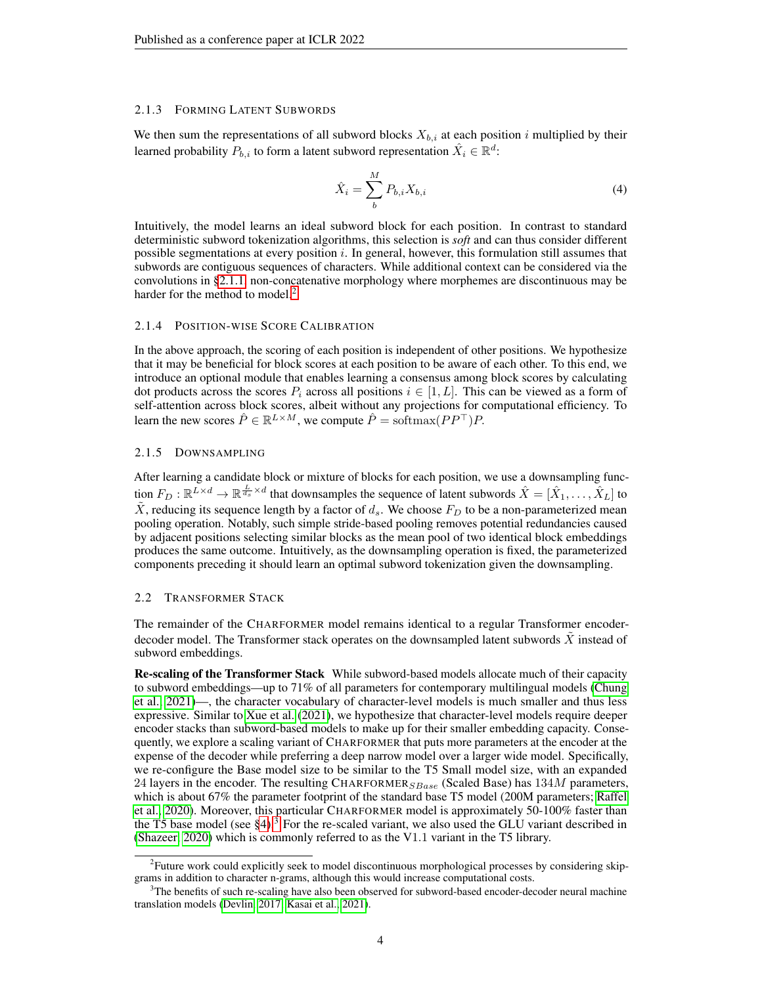#### 2.1.3 FORMING LATENT SUBWORDS

We then sum the representations of all subword blocks  $X_{b,i}$  at each position i multiplied by their learned probability  $P_{b,i}$  to form a latent subword representation  $\hat{X_i} \in \mathbb{R}^d$ :

$$
\hat{X}_i = \sum_{b}^{M} P_{b,i} X_{b,i} \tag{4}
$$

Intuitively, the model learns an ideal subword block for each position. In contrast to standard deterministic subword tokenization algorithms, this selection is *soft* and can thus consider different possible segmentations at every position i. In general, however, this formulation still assumes that subwords are contiguous sequences of characters. While additional context can be considered via the convolutions in [§2.1.1,](#page-1-1) non-concatenative morphology where morphemes are discontinuous may be harder for the method to model.<sup>[2](#page-3-0)</sup>

#### 2.1.4 POSITION-WISE SCORE CALIBRATION

In the above approach, the scoring of each position is independent of other positions. We hypothesize that it may be beneficial for block scores at each position to be aware of each other. To this end, we introduce an optional module that enables learning a consensus among block scores by calculating dot products across the scores  $P_i$  across all positions  $i \in [1, L]$ . This can be viewed as a form of self-attention across block scores, albeit without any projections for computational efficiency. To learn the new scores  $\hat{P} \in \mathbb{R}^{L \times M}$ , we compute  $\hat{P} = \text{softmax}(PP^{\top})P$ .

## 2.1.5 DOWNSAMPLING

After learning a candidate block or mixture of blocks for each position, we use a downsampling function  $F_D: \mathbb{R}^{L \times d} \to \mathbb{R}^{\frac{L}{d_s} \times d}$  that downsamples the sequence of latent subwords  $\hat{X} = [\hat{X}_1,\ldots,\hat{X}_L]$  to  $\tilde{X}$ , reducing its sequence length by a factor of  $d_s$ . We choose  $F_D$  to be a non-parameterized mean pooling operation. Notably, such simple stride-based pooling removes potential redundancies caused by adjacent positions selecting similar blocks as the mean pool of two identical block embeddings produces the same outcome. Intuitively, as the downsampling operation is fixed, the parameterized components preceding it should learn an optimal subword tokenization given the downsampling.

## 2.2 TRANSFORMER STACK

The remainder of the CHARFORMER model remains identical to a regular Transformer encoderdecoder model. The Transformer stack operates on the downsampled latent subwords  $X$  instead of subword embeddings.

Re-scaling of the Transformer Stack While subword-based models allocate much of their capacity to subword embeddings—up to 71% of all parameters for contemporary multilingual models [\(Chung](#page-10-3) [et al., 2021\)](#page-10-3)—, the character vocabulary of character-level models is much smaller and thus less expressive. Similar to [Xue et al.](#page-14-0) [\(2021\)](#page-14-0), we hypothesize that character-level models require deeper encoder stacks than subword-based models to make up for their smaller embedding capacity. Consequently, we explore a scaling variant of CHARFORMER that puts more parameters at the encoder at the expense of the decoder while preferring a deep narrow model over a larger wide model. Specifically, we re-configure the Base model size to be similar to the T5 Small model size, with an expanded 24 layers in the encoder. The resulting CHARFORMER<sub>SBase</sub> (Scaled Base) has  $134M$  parameters, which is about 67% the parameter footprint of the standard base T5 model (200M parameters; [Raffel](#page-12-6) [et al., 2020\)](#page-12-6). Moreover, this particular CHARFORMER model is approximately 50-100% faster than the T5 base model (see  $\S 4$ ).<sup>[3](#page-3-1)</sup> For the re-scaled variant, we also used the GLU variant described in [\(Shazeer, 2020\)](#page-12-7) which is commonly referred to as the V1.1 variant in the T5 library.

<span id="page-3-0"></span><sup>&</sup>lt;sup>2</sup> Future work could explicitly seek to model discontinuous morphological processes by considering skipgrams in addition to character n-grams, although this would increase computational costs.

<span id="page-3-1"></span><sup>&</sup>lt;sup>3</sup>The benefits of such re-scaling have also been observed for subword-based encoder-decoder neural machine translation models [\(Devlin, 2017;](#page-10-4) [Kasai et al., 2021\)](#page-11-4).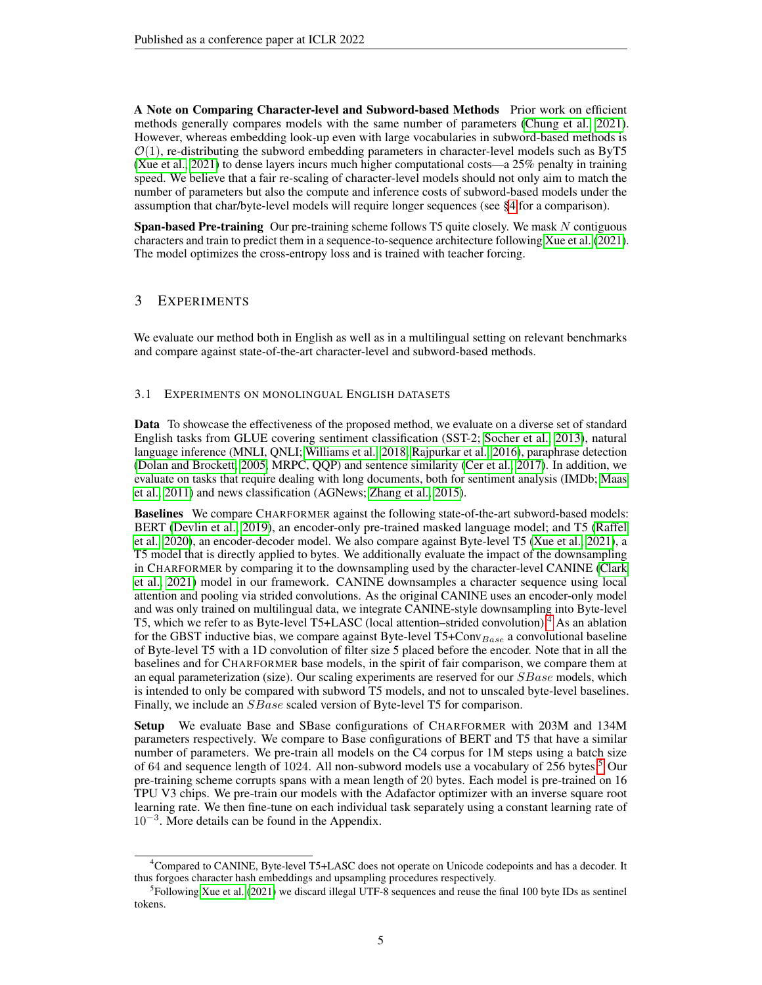A Note on Comparing Character-level and Subword-based Methods Prior work on efficient methods generally compares models with the same number of parameters [\(Chung et al., 2021\)](#page-10-3). However, whereas embedding look-up even with large vocabularies in subword-based methods is  $\mathcal{O}(1)$ , re-distributing the subword embedding parameters in character-level models such as ByT5 [\(Xue et al., 2021\)](#page-14-0) to dense layers incurs much higher computational costs—a 25% penalty in training speed. We believe that a fair re-scaling of character-level models should not only aim to match the number of parameters but also the compute and inference costs of subword-based models under the assumption that char/byte-level models will require longer sequences (see [§4](#page-7-0) for a comparison).

Span-based Pre-training Our pre-training scheme follows T5 quite closely. We mask N contiguous characters and train to predict them in a sequence-to-sequence architecture following [Xue et al.](#page-14-0) [\(2021\)](#page-14-0). The model optimizes the cross-entropy loss and is trained with teacher forcing.

# <span id="page-4-3"></span>3 EXPERIMENTS

We evaluate our method both in English as well as in a multilingual setting on relevant benchmarks and compare against state-of-the-art character-level and subword-based methods.

## <span id="page-4-2"></span>3.1 EXPERIMENTS ON MONOLINGUAL ENGLISH DATASETS

Data To showcase the effectiveness of the proposed method, we evaluate on a diverse set of standard English tasks from GLUE covering sentiment classification (SST-2; [Socher et al., 2013\)](#page-13-6), natural language inference (MNLI, QNLI; [Williams et al., 2018;](#page-13-7) [Rajpurkar et al., 2016\)](#page-12-8), paraphrase detection [\(Dolan and Brockett, 2005,](#page-10-5) MRPC, QQP) and sentence similarity [\(Cer et al., 2017\)](#page-9-2). In addition, we evaluate on tasks that require dealing with long documents, both for sentiment analysis (IMDb; [Maas](#page-12-9) [et al., 2011\)](#page-12-9) and news classification (AGNews; [Zhang et al., 2015\)](#page-14-1).

Baselines We compare CHARFORMER against the following state-of-the-art subword-based models: BERT [\(Devlin et al., 2019\)](#page-10-0), an encoder-only pre-trained masked language model; and T5 [\(Raffel](#page-12-6) [et al., 2020\)](#page-12-6), an encoder-decoder model. We also compare against Byte-level T5 [\(Xue et al., 2021\)](#page-14-0), a T5 model that is directly applied to bytes. We additionally evaluate the impact of the downsampling in CHARFORMER by comparing it to the downsampling used by the character-level CANINE [\(Clark](#page-10-2) [et al., 2021\)](#page-10-2) model in our framework. CANINE downsamples a character sequence using local attention and pooling via strided convolutions. As the original CANINE uses an encoder-only model and was only trained on multilingual data, we integrate CANINE-style downsampling into Byte-level T5, which we refer to as Byte-level T5+LASC (local attention–strided convolution).[4](#page-4-0) As an ablation for the GBST inductive bias, we compare against Byte-level  $T5+Conv_{Base}$  a convolutional baseline of Byte-level T5 with a 1D convolution of filter size 5 placed before the encoder. Note that in all the baselines and for CHARFORMER base models, in the spirit of fair comparison, we compare them at an equal parameterization (size). Our scaling experiments are reserved for our  $SBase$  models, which is intended to only be compared with subword T5 models, and not to unscaled byte-level baselines. Finally, we include an *SBase* scaled version of Byte-level T5 for comparison.

Setup We evaluate Base and SBase configurations of CHARFORMER with 203M and 134M parameters respectively. We compare to Base configurations of BERT and T5 that have a similar number of parameters. We pre-train all models on the C4 corpus for 1M steps using a batch size of 64 and sequence length of 1024. All non-subword models use a vocabulary of 2[5](#page-4-1)6 bytes.<sup>5</sup> Our pre-training scheme corrupts spans with a mean length of 20 bytes. Each model is pre-trained on 16 TPU V3 chips. We pre-train our models with the Adafactor optimizer with an inverse square root learning rate. We then fine-tune on each individual task separately using a constant learning rate of 10<sup>−</sup><sup>3</sup> . More details can be found in the Appendix.

<span id="page-4-0"></span><sup>&</sup>lt;sup>4</sup>Compared to CANINE, Byte-level T5+LASC does not operate on Unicode codepoints and has a decoder. It thus forgoes character hash embeddings and upsampling procedures respectively.

<span id="page-4-1"></span><sup>&</sup>lt;sup>5</sup> Following [Xue et al.](#page-14-0) [\(2021\)](#page-14-0) we discard illegal UTF-8 sequences and reuse the final 100 byte IDs as sentinel tokens.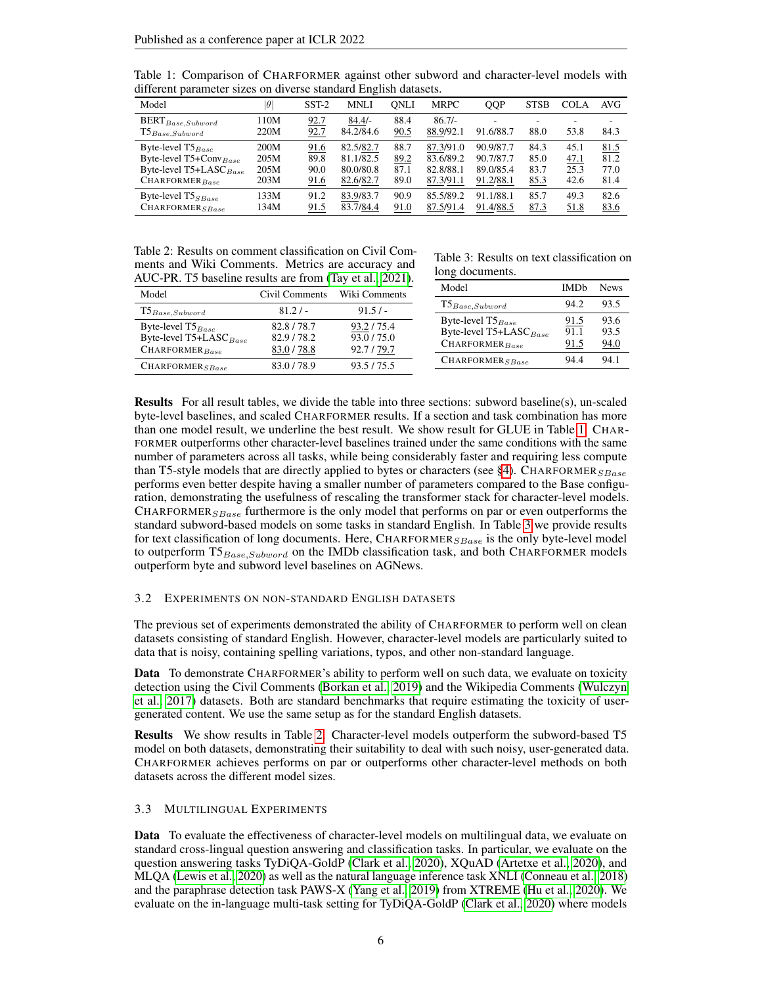| unierent parameter sizes on urverse standard English datasets.                                                         |                              |                              |                                                  |                              |                                                  |                                                  |                              |                              |                              |
|------------------------------------------------------------------------------------------------------------------------|------------------------------|------------------------------|--------------------------------------------------|------------------------------|--------------------------------------------------|--------------------------------------------------|------------------------------|------------------------------|------------------------------|
| Model                                                                                                                  | $ \theta $                   | $SST-2$                      | MNLI                                             | ONLI                         | <b>MRPC</b>                                      | QQP                                              | <b>STSB</b>                  | <b>COLA</b>                  | AVG                          |
| $\text{BERT}_{Base,Subword}$<br>$\texttt{T5}_{Base,Subword}$                                                           | 110M<br>220M                 | 92.7<br>92.7                 | $84.4/-$<br>84.2/84.6                            | 88.4<br>90.5                 | $86.7/-$<br>88.9/92.1                            | 91.6/88.7                                        | 88.0                         | 53.8                         | 84.3                         |
| Byte-level T5 <sub>Base</sub><br>Byte-level T5+Conv <sub>Base</sub><br>Byte-level $T5+LASC_{Base}$<br>$CHAPTER_{Base}$ | 200M<br>205M<br>205M<br>203M | 91.6<br>89.8<br>90.0<br>91.6 | 82.5/82.7<br>81.1/82.5<br>80.0/80.8<br>82.6/82.7 | 88.7<br>89.2<br>87.1<br>89.0 | 87.3/91.0<br>83.6/89.2<br>82.8/88.1<br>87.3/91.1 | 90.9/87.7<br>90.7/87.7<br>89.0/85.4<br>91.2/88.1 | 84.3<br>85.0<br>83.7<br>85.3 | 45.1<br>47.1<br>25.3<br>42.6 | 81.5<br>81.2<br>77.0<br>81.4 |
| Byte-level $T5_{SBase}$<br>$CHAPTER_{SBase}$                                                                           | 133M<br>134M                 | 91.2<br>91.5                 | 83.9/83.7<br>83.7/84.4                           | 90.9<br>91.0                 | 85.5/89.2<br>87.5/91.4                           | 91.1/88.1<br>91.4/88.5                           | 85.7<br>87.3                 | 49.3<br>51.8                 | 82.6<br>83.6                 |

<span id="page-5-0"></span>Table 1: Comparison of CHARFORMER against other subword and character-level models with different parameter sizes on diverse standard English datasets ediater sizes on diverse standard English data

<span id="page-5-2"></span>

| Table 2: Results on comment classification on Civil Com- |  |
|----------------------------------------------------------|--|
| ments and Wiki Comments. Metrics are accuracy and        |  |
| AUC-PR. T5 baseline results are from (Tay et al., 2021). |  |

| Model                                                                                   | Civil Comments                      | Wiki Comments                       |
|-----------------------------------------------------------------------------------------|-------------------------------------|-------------------------------------|
| $T5_{Base,Subword}$                                                                     | $81.2/-$                            | 91.5/                               |
| Byte-level T5 <sub>Base</sub><br>Byte-level T5+LASC <sub>Base</sub><br>$CHAPTER_{Base}$ | 82.8/78.7<br>82.9/78.2<br>83.0/78.8 | 93.2/75.4<br>93.0/75.0<br>92.7/79.7 |
| $CHAPTER_{SBase}$                                                                       | 83.0/78.9                           | 93.5/75.5                           |

<span id="page-5-1"></span>Table 3: Results on text classification on long documents.

| $\overline{\cdots}$<br>$-000$      |             |             |
|------------------------------------|-------------|-------------|
| Model                              | <b>IMDh</b> | <b>News</b> |
| $T5_{Base,Subword}$                | 94.2        | 93.5        |
| Byte-level $T5_{Base}$             | 91.5        | 93.6        |
| Byte-level T5+LASC <sub>Base</sub> | 91.1        | 93.5        |
| $CHAPTER_{Base}$                   | 91.5        | 94.0        |
| CHAPTER <sub>SBase</sub>           | 94.4        | 94.1        |

Results For all result tables, we divide the table into three sections: subword baseline(s), un-scaled byte-level baselines, and scaled CHARFORMER results. If a section and task combination has more than one model result, we underline the best result. We show result for GLUE in Table [1.](#page-5-0) CHAR-FORMER outperforms other character-level baselines trained under the same conditions with the same number of parameters across all tasks, while being considerably faster and requiring less compute than T5-style models that are directly applied to bytes or characters (see [§4\)](#page-7-0). CHARFORMER $_{SBase}$ performs even better despite having a smaller number of parameters compared to the Base configuration, demonstrating the usefulness of rescaling the transformer stack for character-level models. CHARFORMER $_{SBase}$  furthermore is the only model that performs on par or even outperforms the standard subword-based models on some tasks in standard English. In Table [3](#page-5-1) we provide results for text classification of long documents. Here, CHARFORMER $_{SBase}$  is the only byte-level model to outperform  $T5_{Base,Subword}$  on the IMDb classification task, and both CHARFORMER models outperform byte and subword level baselines on AGNews.

## 3.2 EXPERIMENTS ON NON-STANDARD ENGLISH DATASETS

The previous set of experiments demonstrated the ability of CHARFORMER to perform well on clean datasets consisting of standard English. However, character-level models are particularly suited to data that is noisy, containing spelling variations, typos, and other non-standard language.

Data To demonstrate CHARFORMER's ability to perform well on such data, we evaluate on toxicity detection using the Civil Comments [\(Borkan et al., 2019\)](#page-9-1) and the Wikipedia Comments [\(Wulczyn](#page-13-3) [et al., 2017\)](#page-13-3) datasets. Both are standard benchmarks that require estimating the toxicity of usergenerated content. We use the same setup as for the standard English datasets.

Results We show results in Table [2.](#page-5-2) Character-level models outperform the subword-based T5 model on both datasets, demonstrating their suitability to deal with such noisy, user-generated data. CHARFORMER achieves performs on par or outperforms other character-level methods on both datasets across the different model sizes.

#### <span id="page-5-3"></span>3.3 MULTILINGUAL EXPERIMENTS

Data To evaluate the effectiveness of character-level models on multilingual data, we evaluate on standard cross-lingual question answering and classification tasks. In particular, we evaluate on the question answering tasks TyDiQA-GoldP [\(Clark et al., 2020\)](#page-10-6), XQuAD [\(Artetxe et al., 2020\)](#page-9-3), and MLQA [\(Lewis et al., 2020\)](#page-11-5) as well as the natural language inference task XNLI [\(Conneau et al., 2018\)](#page-10-7) and the paraphrase detection task PAWS-X [\(Yang et al., 2019\)](#page-14-2) from XTREME [\(Hu et al., 2020\)](#page-11-3). We evaluate on the in-language multi-task setting for TyDiQA-GoldP [\(Clark et al., 2020\)](#page-10-6) where models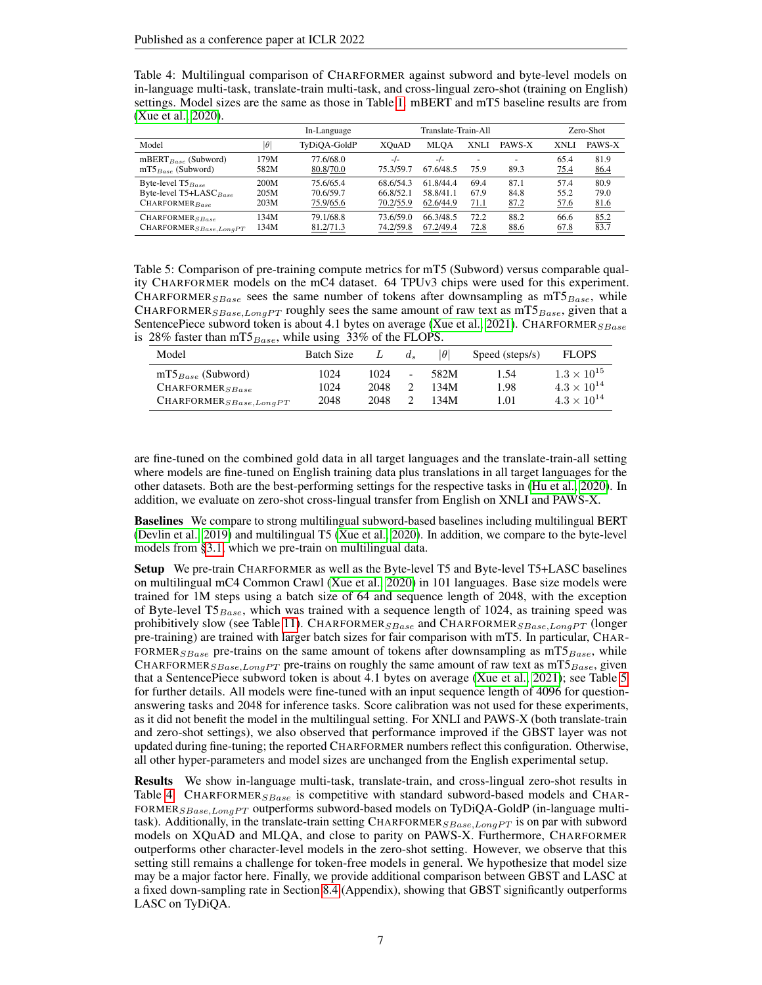<span id="page-6-1"></span>

| Table 4: Multilingual comparison of CHARFORMER against subword and byte-level models on               |
|-------------------------------------------------------------------------------------------------------|
| in-language multi-task, translate-train multi-task, and cross-lingual zero-shot (training on English) |
| settings. Model sizes are the same as those in Table 1. mBERT and mT5 baseline results are from       |
| (Xue et al., 2020).                                                                                   |

|                                 | In-Language |              | Translate-Train-All |           |             |        |      | Zero-Shot |  |
|---------------------------------|-------------|--------------|---------------------|-----------|-------------|--------|------|-----------|--|
| Model                           | $ \theta $  | TyDiOA-GoldP | XOuAD               | MLOA      | <b>XNLI</b> | PAWS-X | XNLI | PAWS-X    |  |
| mBERT <sub>Base</sub> (Subword) | 179M        | 77.6/68.0    | $-/-$               | $-/-$     | ٠           | ٠      | 65.4 | 81.9      |  |
| $mTS_{Base}$ (Subword)          | 582M        | 80.8/70.0    | 75.3/59.7           | 67.6/48.5 | 75.9        | 89.3   | 75.4 | 86.4      |  |
| Byte-level $T5_{Base}$          | 200M        | 75.6/65.4    | 68.6/54.3           | 61.8/44.4 | 69.4        | 87.1   | 57.4 | 80.9      |  |
| Byte-level $T5+LASC_{Base}$     | 205M        | 70.6/59.7    | 66.8/52.1           | 58.8/41.1 | 67.9        | 84.8   | 55.2 | 79.0      |  |
| $CHARFORMER_{Base}$             | 203M        | 75.9/65.6    | 70.2/55.9           | 62.6/44.9 | <u>71.1</u> | 87.2   | 57.6 | 81.6      |  |
| $CHAPTER_{SBase}$               | 134M        | 79.1/68.8    | 73.6/59.0           | 66.3/48.5 | 72.2        | 88.2   | 66.6 | 85.2      |  |
| $CHAPTER_{SBase,LongPT}$        | 134M        | 81.2/71.3    | 74.2/59.8           | 67.2/49.4 | <u>72.8</u> | 88.6   | 67.8 | 83.7      |  |

<span id="page-6-0"></span>Table 5: Comparison of pre-training compute metrics for mT5 (Subword) versus comparable quality CHARFORMER models on the mC4 dataset. 64 TPUv3 chips were used for this experiment. CHARFORMER<sub>SBase</sub> sees the same number of tokens after downsampling as  $mTS_{Base}$ , while CHARFORMER<sub>SBase,LongPT</sub> roughly sees the same amount of raw text as mT5<sub>Base</sub>, given that a SentencePiece subword token is about 4.1 bytes on average [\(Xue et al., 2021\)](#page-14-0). CHARFORMER $_{SBase}$ is 28% faster than mT5 $_{Base}$ , while using 33% of the FLOPS.

| Model                              | <b>Batch Size</b> |      | $d_s$ | $ \theta $ | Speed (steps/s) | <b>FLOPS</b>         |
|------------------------------------|-------------------|------|-------|------------|-----------------|----------------------|
| $mT5_{Base}$ (Subword)             | 1024              | 1024 | -     | 582M       | 1.54            | $1.3 \times 10^{15}$ |
| CHARFORMER <sub>SBase</sub>        | 1024              | 2048 |       | 134M       | 1.98            | $4.3 \times 10^{14}$ |
| $\text{CHARPORMER}_{SBase,LongPT}$ | 2048              | 2048 |       | 134M       | 1.01            | $4.3 \times 10^{14}$ |

are fine-tuned on the combined gold data in all target languages and the translate-train-all setting where models are fine-tuned on English training data plus translations in all target languages for the other datasets. Both are the best-performing settings for the respective tasks in [\(Hu et al., 2020\)](#page-11-3). In addition, we evaluate on zero-shot cross-lingual transfer from English on XNLI and PAWS-X.

Baselines We compare to strong multilingual subword-based baselines including multilingual BERT [\(Devlin et al., 2019\)](#page-10-0) and multilingual T5 [\(Xue et al., 2020\)](#page-13-4). In addition, we compare to the byte-level models from [§3.1,](#page-4-2) which we pre-train on multilingual data.

Setup We pre-train CHARFORMER as well as the Byte-level T5 and Byte-level T5+LASC baselines on multilingual mC4 Common Crawl [\(Xue et al., 2020\)](#page-13-4) in 101 languages. Base size models were trained for 1M steps using a batch size of 64 and sequence length of 2048, with the exception of Byte-level T5 $_{Base}$ , which was trained with a sequence length of 1024, as training speed was prohibitively slow (see Table [11\)](#page-17-0). CHARFORMER<sub>SBase</sub> and CHARFORMER<sub>SBase,LongPT</sub> (longer pre-training) are trained with larger batch sizes for fair comparison with mT5. In particular, CHAR-FORMER<sub>SBase</sub> pre-trains on the same amount of tokens after downsampling as  $mTS_{Base}$ , while CHARFORMER<sub>SBase,LongPT</sub> pre-trains on roughly the same amount of raw text as mT5<sub>Base</sub>, given that a SentencePiece subword token is about 4.1 bytes on average [\(Xue et al., 2021\)](#page-14-0); see Table [5](#page-6-0) for further details. All models were fine-tuned with an input sequence length of 4096 for questionanswering tasks and 2048 for inference tasks. Score calibration was not used for these experiments, as it did not benefit the model in the multilingual setting. For XNLI and PAWS-X (both translate-train and zero-shot settings), we also observed that performance improved if the GBST layer was not updated during fine-tuning; the reported CHARFORMER numbers reflect this configuration. Otherwise, all other hyper-parameters and model sizes are unchanged from the English experimental setup.

Results We show in-language multi-task, translate-train, and cross-lingual zero-shot results in Table [4.](#page-6-1) CHARFORMER $_{SBase}$  is competitive with standard subword-based models and CHAR-FORMER<sub>SBase, LongPT</sub> outperforms subword-based models on TyDiQA-GoldP (in-language multitask). Additionally, in the translate-train setting CHARFORMER<sub>SBase, LongPT</sub> is on par with subword models on XQuAD and MLQA, and close to parity on PAWS-X. Furthermore, CHARFORMER outperforms other character-level models in the zero-shot setting. However, we observe that this setting still remains a challenge for token-free models in general. We hypothesize that model size may be a major factor here. Finally, we provide additional comparison between GBST and LASC at a fixed down-sampling rate in Section [8.4](#page-16-1) (Appendix), showing that GBST significantly outperforms LASC on TyDiQA.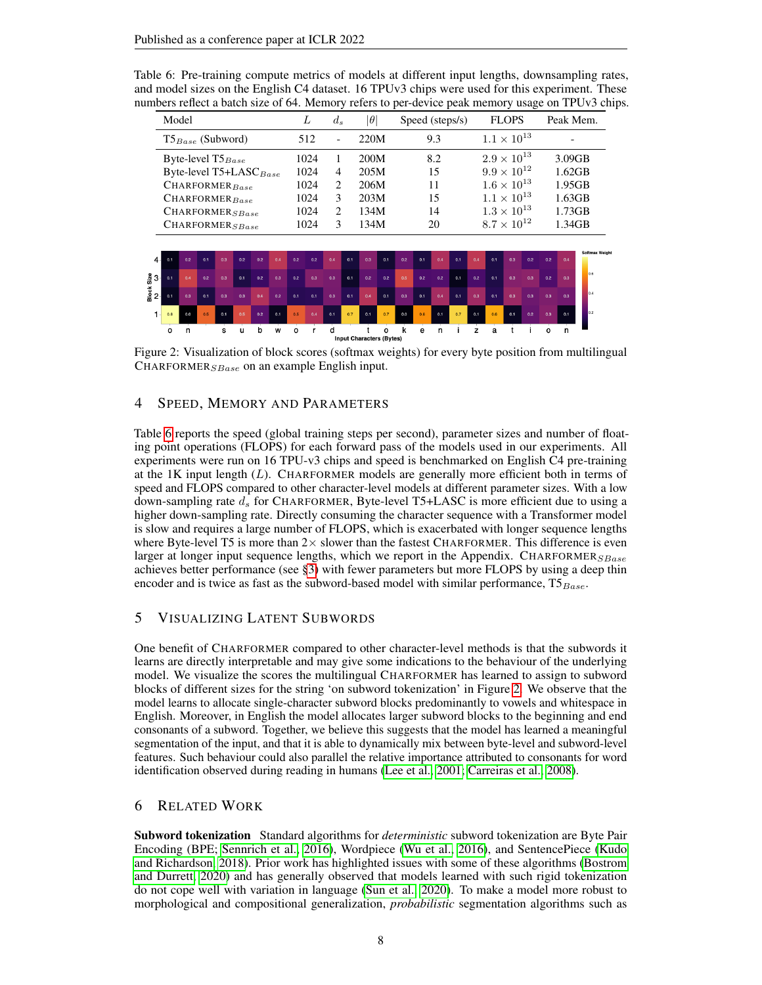<span id="page-7-1"></span>Table 6: Pre-training compute metrics of models at different input lengths, downsampling rates, and model sizes on the English C4 dataset. 16 TPUv3 chips were used for this experiment. These numbers reflect a batch size of 64. Memory refers to per-device peak memory usage on TPUv3 chips.

| Model                              | L    | $d_{s}$                  | $ \theta $ | Speed (steps/s) | <b>FLOPS</b>         | Peak Mem.                |
|------------------------------------|------|--------------------------|------------|-----------------|----------------------|--------------------------|
| $T5_{Base}$ (Subword)              | 512  | $\overline{\phantom{0}}$ | 220M       | 9.3             | $1.1 \times 10^{13}$ | $\overline{\phantom{0}}$ |
| Byte-level $T5_{Base}$             | 1024 |                          | 200M       | 8.2             | $2.9 \times 10^{13}$ | $3.09$ GB                |
| Byte-level T5+LASC <sub>Base</sub> | 1024 | 4                        | 205M       | 15              | $9.9 \times 10^{12}$ | 1.62GB                   |
| $CHAPTER_{Base}$                   | 1024 | $\overline{c}$           | 206M       | 11              | $1.6 \times 10^{13}$ | $1.95$ GB                |
| $CHAPTER_{Base}$                   | 1024 | 3                        | 203M       | 15              | $1.1 \times 10^{13}$ | 1.63GB                   |
| $CHAPTER_{SBase}$                  | 1024 | 2                        | 134M       | 14              | $1.3 \times 10^{13}$ | 1.73GB                   |
| CHARFORMER <sub>SBase</sub>        | 1024 | 3                        | 134M       | 20              | $8.7 \times 10^{12}$ | 1.34GB                   |
|                                    |      |                          |            |                 |                      |                          |

<span id="page-7-2"></span>

Figure 2: Visualization of block scores (softmax weights) for every byte position from multilingual CHARFORMER $_{SBase}$  on an example English input.

# <span id="page-7-0"></span>4 SPEED, MEMORY AND PARAMETERS

Table [6](#page-7-1) reports the speed (global training steps per second), parameter sizes and number of floating point operations (FLOPS) for each forward pass of the models used in our experiments. All experiments were run on 16 TPU-v3 chips and speed is benchmarked on English C4 pre-training at the  $1K$  input length  $(L)$ . CHARFORMER models are generally more efficient both in terms of speed and FLOPS compared to other character-level models at different parameter sizes. With a low down-sampling rate  $d_s$  for CHARFORMER, Byte-level T5+LASC is more efficient due to using a higher down-sampling rate. Directly consuming the character sequence with a Transformer model is slow and requires a large number of FLOPS, which is exacerbated with longer sequence lengths where Byte-level T5 is more than  $2 \times$  slower than the fastest CHARFORMER. This difference is even larger at longer input sequence lengths, which we report in the Appendix. CHARFORMER $_{SBase}$ achieves better performance (see [§3\)](#page-4-3) with fewer parameters but more FLOPS by using a deep thin encoder and is twice as fast as the subword-based model with similar performance,  $T5_{Base}$ .

# 5 VISUALIZING LATENT SUBWORDS

One benefit of CHARFORMER compared to other character-level methods is that the subwords it learns are directly interpretable and may give some indications to the behaviour of the underlying model. We visualize the scores the multilingual CHARFORMER has learned to assign to subword blocks of different sizes for the string 'on subword tokenization' in Figure [2.](#page-7-2) We observe that the model learns to allocate single-character subword blocks predominantly to vowels and whitespace in English. Moreover, in English the model allocates larger subword blocks to the beginning and end consonants of a subword. Together, we believe this suggests that the model has learned a meaningful segmentation of the input, and that it is able to dynamically mix between byte-level and subword-level features. Such behaviour could also parallel the relative importance attributed to consonants for word identification observed during reading in humans [\(Lee et al., 2001;](#page-11-6) [Carreiras et al., 2008\)](#page-9-4).

## 6 RELATED WORK

Subword tokenization Standard algorithms for *deterministic* subword tokenization are Byte Pair Encoding (BPE; [Sennrich et al., 2016\)](#page-12-4), Wordpiece [\(Wu et al., 2016\)](#page-13-0), and SentencePiece [\(Kudo](#page-11-1) [and Richardson, 2018\)](#page-11-1). Prior work has highlighted issues with some of these algorithms [\(Bostrom](#page-9-5) [and Durrett, 2020\)](#page-9-5) and has generally observed that models learned with such rigid tokenization do not cope well with variation in language [\(Sun et al., 2020\)](#page-13-1). To make a model more robust to morphological and compositional generalization, *probabilistic* segmentation algorithms such as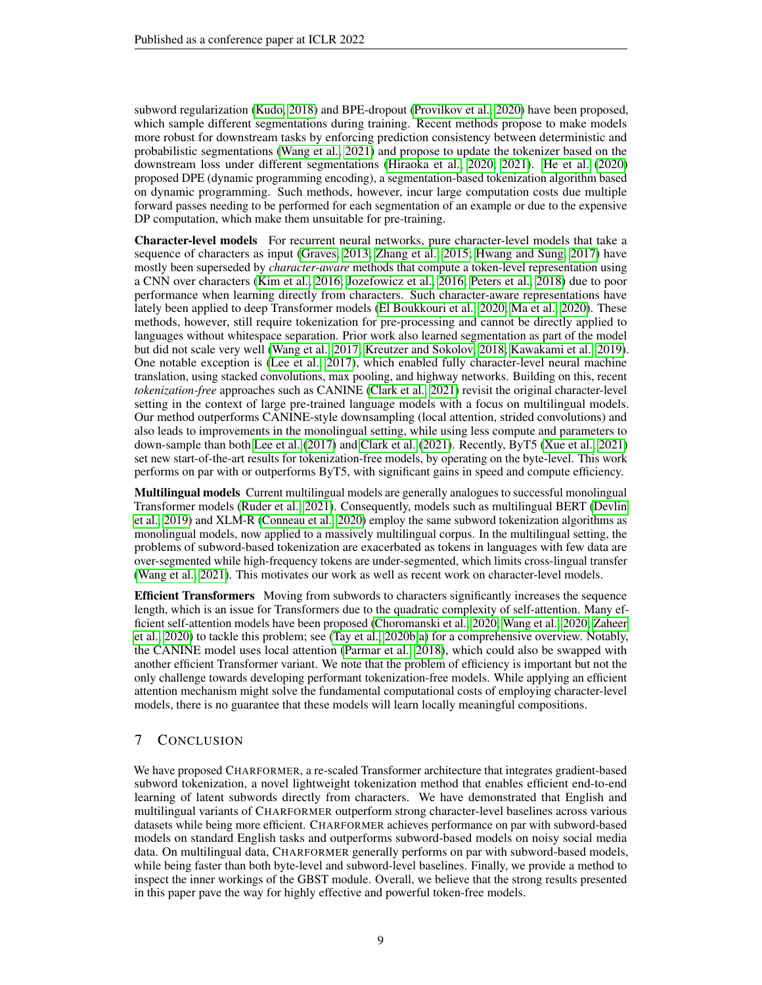subword regularization [\(Kudo, 2018\)](#page-11-7) and BPE-dropout [\(Provilkov et al., 2020\)](#page-12-10) have been proposed, which sample different segmentations during training. Recent methods propose to make models more robust for downstream tasks by enforcing prediction consistency between deterministic and probabilistic segmentations [\(Wang et al., 2021\)](#page-13-2) and propose to update the tokenizer based on the downstream loss under different segmentations [\(Hiraoka et al., 2020;](#page-10-8) [2021\)](#page-10-9). [He et al.](#page-10-10) [\(2020\)](#page-10-10) proposed DPE (dynamic programming encoding), a segmentation-based tokenization algorithm based on dynamic programming. Such methods, however, incur large computation costs due multiple forward passes needing to be performed for each segmentation of an example or due to the expensive DP computation, which make them unsuitable for pre-training.

Character-level models For recurrent neural networks, pure character-level models that take a sequence of characters as input [\(Graves, 2013;](#page-10-11) [Zhang et al., 2015;](#page-14-1) [Hwang and Sung, 2017\)](#page-11-8) have mostly been superseded by *character-aware* methods that compute a token-level representation using a CNN over characters [\(Kim et al., 2016;](#page-11-9) [Jozefowicz et al., 2016;](#page-11-10) [Peters et al., 2018\)](#page-12-1) due to poor performance when learning directly from characters. Such character-aware representations have lately been applied to deep Transformer models [\(El Boukkouri et al., 2020;](#page-10-12) [Ma et al., 2020\)](#page-11-11). These methods, however, still require tokenization for pre-processing and cannot be directly applied to languages without whitespace separation. Prior work also learned segmentation as part of the model but did not scale very well [\(Wang et al., 2017;](#page-13-9) [Kreutzer and Sokolov, 2018;](#page-11-12) [Kawakami et al., 2019\)](#page-11-13). One notable exception is [\(Lee et al., 2017\)](#page-11-14), which enabled fully character-level neural machine translation, using stacked convolutions, max pooling, and highway networks. Building on this, recent *tokenization-free* approaches such as CANINE [\(Clark et al., 2021\)](#page-10-2) revisit the original character-level setting in the context of large pre-trained language models with a focus on multilingual models. Our method outperforms CANINE-style downsampling (local attention, strided convolutions) and also leads to improvements in the monolingual setting, while using less compute and parameters to down-sample than both [Lee et al.](#page-11-14) [\(2017\)](#page-11-14) and [Clark et al.](#page-10-2) [\(2021\)](#page-10-2). Recently, ByT5 [\(Xue et al., 2021\)](#page-14-0) set new start-of-the-art results for tokenization-free models, by operating on the byte-level. This work performs on par with or outperforms ByT5, with significant gains in speed and compute efficiency.

Multilingual models Current multilingual models are generally analogues to successful monolingual Transformer models [\(Ruder et al., 2021\)](#page-12-11). Consequently, models such as multilingual BERT [\(Devlin](#page-10-0) [et al., 2019\)](#page-10-0) and XLM-R [\(Conneau et al., 2020\)](#page-10-13) employ the same subword tokenization algorithms as monolingual models, now applied to a massively multilingual corpus. In the multilingual setting, the problems of subword-based tokenization are exacerbated as tokens in languages with few data are over-segmented while high-frequency tokens are under-segmented, which limits cross-lingual transfer [\(Wang et al., 2021\)](#page-13-2). This motivates our work as well as recent work on character-level models.

**Efficient Transformers** Moving from subwords to characters significantly increases the sequence length, which is an issue for Transformers due to the quadratic complexity of self-attention. Many efficient self-attention models have been proposed [\(Choromanski et al., 2020;](#page-10-14) [Wang et al., 2020;](#page-13-10) [Zaheer](#page-14-3) [et al., 2020\)](#page-14-3) to tackle this problem; see [\(Tay et al., 2020b;](#page-13-11)[a\)](#page-13-12) for a comprehensive overview. Notably, the CANINE model uses local attention [\(Parmar et al., 2018\)](#page-12-12), which could also be swapped with another efficient Transformer variant. We note that the problem of efficiency is important but not the only challenge towards developing performant tokenization-free models. While applying an efficient attention mechanism might solve the fundamental computational costs of employing character-level models, there is no guarantee that these models will learn locally meaningful compositions.

# 7 CONCLUSION

We have proposed CHARFORMER, a re-scaled Transformer architecture that integrates gradient-based subword tokenization, a novel lightweight tokenization method that enables efficient end-to-end learning of latent subwords directly from characters. We have demonstrated that English and multilingual variants of CHARFORMER outperform strong character-level baselines across various datasets while being more efficient. CHARFORMER achieves performance on par with subword-based models on standard English tasks and outperforms subword-based models on noisy social media data. On multilingual data, CHARFORMER generally performs on par with subword-based models, while being faster than both byte-level and subword-level baselines. Finally, we provide a method to inspect the inner workings of the GBST module. Overall, we believe that the strong results presented in this paper pave the way for highly effective and powerful token-free models.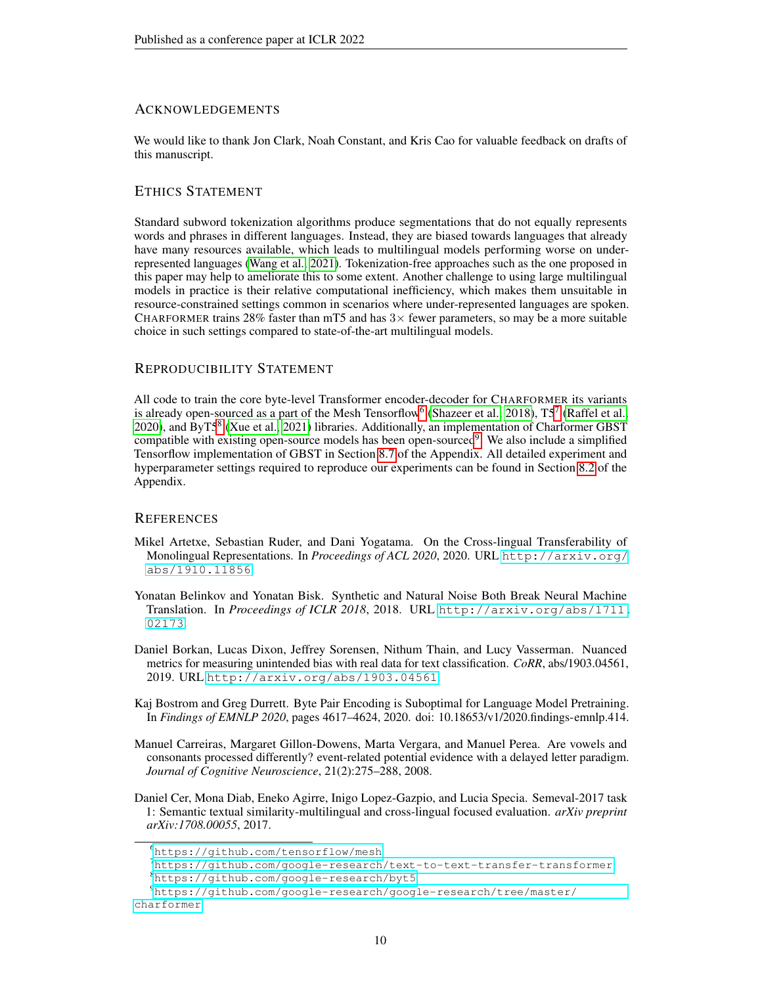# ACKNOWLEDGEMENTS

We would like to thank Jon Clark, Noah Constant, and Kris Cao for valuable feedback on drafts of this manuscript.

# ETHICS STATEMENT

Standard subword tokenization algorithms produce segmentations that do not equally represents words and phrases in different languages. Instead, they are biased towards languages that already have many resources available, which leads to multilingual models performing worse on underrepresented languages [\(Wang et al., 2021\)](#page-13-2). Tokenization-free approaches such as the one proposed in this paper may help to ameliorate this to some extent. Another challenge to using large multilingual models in practice is their relative computational inefficiency, which makes them unsuitable in resource-constrained settings common in scenarios where under-represented languages are spoken. CHARFORMER trains 28% faster than mT5 and has  $3\times$  fewer parameters, so may be a more suitable choice in such settings compared to state-of-the-art multilingual models.

## REPRODUCIBILITY STATEMENT

All code to train the core byte-level Transformer encoder-decoder for CHARFORMER its variants is already open-sourced as a part of the Mesh Tensorflow<sup>[6](#page-9-6)</sup> [\(Shazeer et al., 2018\)](#page-12-13),  $T5^7$  $T5^7$  [\(Raffel et al.,](#page-12-6) [2020\)](#page-12-6), and ByT5<sup>[8](#page-9-8)</sup> [\(Xue et al., 2021\)](#page-14-0) libraries. Additionally, an implementation of Charformer GBST compatible with existing open-source models has been open-sourced<sup>[9](#page-9-9)</sup>. We also include a simplified Tensorflow implementation of GBST in Section [8.7](#page-18-0) of the Appendix. All detailed experiment and hyperparameter settings required to reproduce our experiments can be found in Section [8.2](#page-15-1) of the Appendix.

## **REFERENCES**

- <span id="page-9-3"></span>Mikel Artetxe, Sebastian Ruder, and Dani Yogatama. On the Cross-lingual Transferability of Monolingual Representations. In *Proceedings of ACL 2020*, 2020. URL [http://arxiv.org/](http://arxiv.org/abs/1910.11856) [abs/1910.11856](http://arxiv.org/abs/1910.11856).
- <span id="page-9-0"></span>Yonatan Belinkov and Yonatan Bisk. Synthetic and Natural Noise Both Break Neural Machine Translation. In *Proceedings of ICLR 2018*, 2018. URL [http://arxiv.org/abs/1711.](http://arxiv.org/abs/1711.02173) [02173](http://arxiv.org/abs/1711.02173).
- <span id="page-9-1"></span>Daniel Borkan, Lucas Dixon, Jeffrey Sorensen, Nithum Thain, and Lucy Vasserman. Nuanced metrics for measuring unintended bias with real data for text classification. *CoRR*, abs/1903.04561, 2019. URL <http://arxiv.org/abs/1903.04561>.
- <span id="page-9-5"></span>Kaj Bostrom and Greg Durrett. Byte Pair Encoding is Suboptimal for Language Model Pretraining. In *Findings of EMNLP 2020*, pages 4617–4624, 2020. doi: 10.18653/v1/2020.findings-emnlp.414.
- <span id="page-9-4"></span>Manuel Carreiras, Margaret Gillon-Dowens, Marta Vergara, and Manuel Perea. Are vowels and consonants processed differently? event-related potential evidence with a delayed letter paradigm. *Journal of Cognitive Neuroscience*, 21(2):275–288, 2008.
- <span id="page-9-2"></span>Daniel Cer, Mona Diab, Eneko Agirre, Inigo Lopez-Gazpio, and Lucia Specia. Semeval-2017 task 1: Semantic textual similarity-multilingual and cross-lingual focused evaluation. *arXiv preprint arXiv:1708.00055*, 2017.

<span id="page-9-6"></span><sup>6</sup><https://github.com/tensorflow/mesh>

<span id="page-9-7"></span><sup>7</sup><https://github.com/google-research/text-to-text-transfer-transformer>

<span id="page-9-9"></span><span id="page-9-8"></span><sup>8</sup><https://github.com/google-research/byt5>

<sup>9</sup>[https://github.com/google-research/google-research/tree/master/](https://github.com/google-research/google-research/tree/master/charformer) [charformer](https://github.com/google-research/google-research/tree/master/charformer)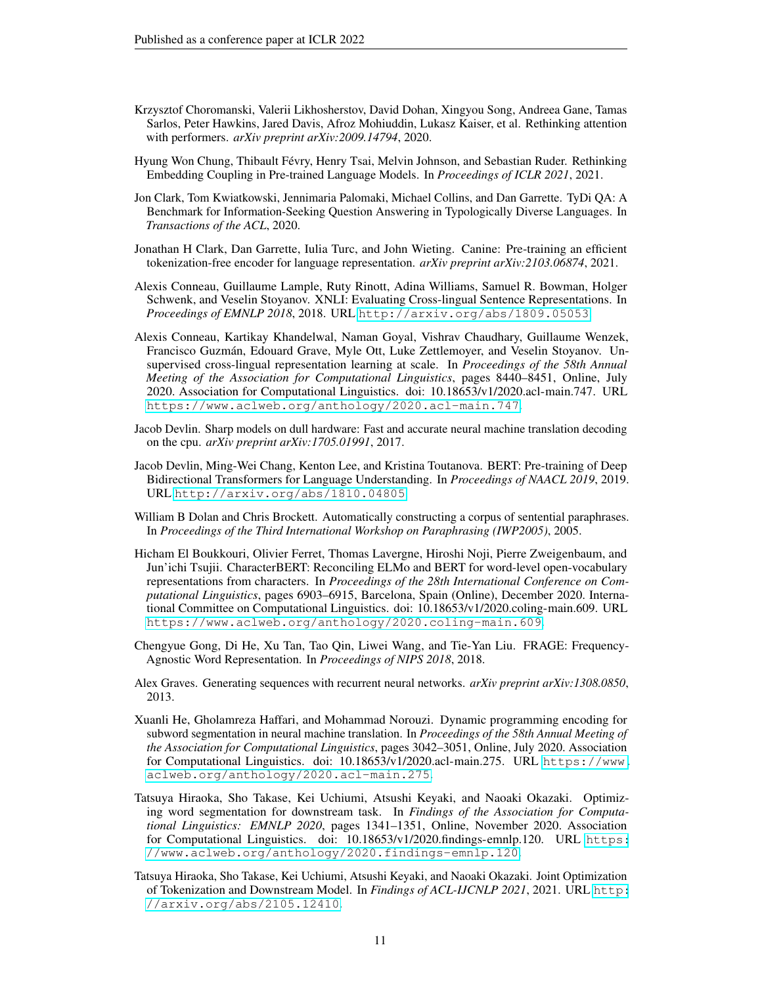- <span id="page-10-14"></span>Krzysztof Choromanski, Valerii Likhosherstov, David Dohan, Xingyou Song, Andreea Gane, Tamas Sarlos, Peter Hawkins, Jared Davis, Afroz Mohiuddin, Lukasz Kaiser, et al. Rethinking attention with performers. *arXiv preprint arXiv:2009.14794*, 2020.
- <span id="page-10-3"></span>Hyung Won Chung, Thibault Févry, Henry Tsai, Melvin Johnson, and Sebastian Ruder. Rethinking Embedding Coupling in Pre-trained Language Models. In *Proceedings of ICLR 2021*, 2021.
- <span id="page-10-6"></span>Jon Clark, Tom Kwiatkowski, Jennimaria Palomaki, Michael Collins, and Dan Garrette. TyDi QA: A Benchmark for Information-Seeking Question Answering in Typologically Diverse Languages. In *Transactions of the ACL*, 2020.
- <span id="page-10-2"></span>Jonathan H Clark, Dan Garrette, Iulia Turc, and John Wieting. Canine: Pre-training an efficient tokenization-free encoder for language representation. *arXiv preprint arXiv:2103.06874*, 2021.
- <span id="page-10-7"></span>Alexis Conneau, Guillaume Lample, Ruty Rinott, Adina Williams, Samuel R. Bowman, Holger Schwenk, and Veselin Stoyanov. XNLI: Evaluating Cross-lingual Sentence Representations. In *Proceedings of EMNLP 2018*, 2018. URL <http://arxiv.org/abs/1809.05053>.
- <span id="page-10-13"></span>Alexis Conneau, Kartikay Khandelwal, Naman Goyal, Vishrav Chaudhary, Guillaume Wenzek, Francisco Guzmán, Edouard Grave, Myle Ott, Luke Zettlemoyer, and Veselin Stoyanov. Unsupervised cross-lingual representation learning at scale. In *Proceedings of the 58th Annual Meeting of the Association for Computational Linguistics*, pages 8440–8451, Online, July 2020. Association for Computational Linguistics. doi: 10.18653/v1/2020.acl-main.747. URL <https://www.aclweb.org/anthology/2020.acl-main.747>.
- <span id="page-10-4"></span>Jacob Devlin. Sharp models on dull hardware: Fast and accurate neural machine translation decoding on the cpu. *arXiv preprint arXiv:1705.01991*, 2017.
- <span id="page-10-0"></span>Jacob Devlin, Ming-Wei Chang, Kenton Lee, and Kristina Toutanova. BERT: Pre-training of Deep Bidirectional Transformers for Language Understanding. In *Proceedings of NAACL 2019*, 2019. URL <http://arxiv.org/abs/1810.04805>.
- <span id="page-10-5"></span>William B Dolan and Chris Brockett. Automatically constructing a corpus of sentential paraphrases. In *Proceedings of the Third International Workshop on Paraphrasing (IWP2005)*, 2005.
- <span id="page-10-12"></span>Hicham El Boukkouri, Olivier Ferret, Thomas Lavergne, Hiroshi Noji, Pierre Zweigenbaum, and Jun'ichi Tsujii. CharacterBERT: Reconciling ELMo and BERT for word-level open-vocabulary representations from characters. In *Proceedings of the 28th International Conference on Computational Linguistics*, pages 6903–6915, Barcelona, Spain (Online), December 2020. International Committee on Computational Linguistics. doi: 10.18653/v1/2020.coling-main.609. URL <https://www.aclweb.org/anthology/2020.coling-main.609>.
- <span id="page-10-1"></span>Chengyue Gong, Di He, Xu Tan, Tao Qin, Liwei Wang, and Tie-Yan Liu. FRAGE: Frequency-Agnostic Word Representation. In *Proceedings of NIPS 2018*, 2018.
- <span id="page-10-11"></span>Alex Graves. Generating sequences with recurrent neural networks. *arXiv preprint arXiv:1308.0850*, 2013.
- <span id="page-10-10"></span>Xuanli He, Gholamreza Haffari, and Mohammad Norouzi. Dynamic programming encoding for subword segmentation in neural machine translation. In *Proceedings of the 58th Annual Meeting of the Association for Computational Linguistics*, pages 3042–3051, Online, July 2020. Association for Computational Linguistics. doi: 10.18653/v1/2020.acl-main.275. URL [https://www.](https://www.aclweb.org/anthology/2020.acl-main.275) [aclweb.org/anthology/2020.acl-main.275](https://www.aclweb.org/anthology/2020.acl-main.275).
- <span id="page-10-8"></span>Tatsuya Hiraoka, Sho Takase, Kei Uchiumi, Atsushi Keyaki, and Naoaki Okazaki. Optimizing word segmentation for downstream task. In *Findings of the Association for Computational Linguistics: EMNLP 2020*, pages 1341–1351, Online, November 2020. Association for Computational Linguistics. doi: 10.18653/v1/2020.findings-emnlp.120. URL [https:](https://www.aclweb.org/anthology/2020.findings-emnlp.120) [//www.aclweb.org/anthology/2020.findings-emnlp.120](https://www.aclweb.org/anthology/2020.findings-emnlp.120).
- <span id="page-10-9"></span>Tatsuya Hiraoka, Sho Takase, Kei Uchiumi, Atsushi Keyaki, and Naoaki Okazaki. Joint Optimization of Tokenization and Downstream Model. In *Findings of ACL-IJCNLP 2021*, 2021. URL [http:](http://arxiv.org/abs/2105.12410) [//arxiv.org/abs/2105.12410](http://arxiv.org/abs/2105.12410).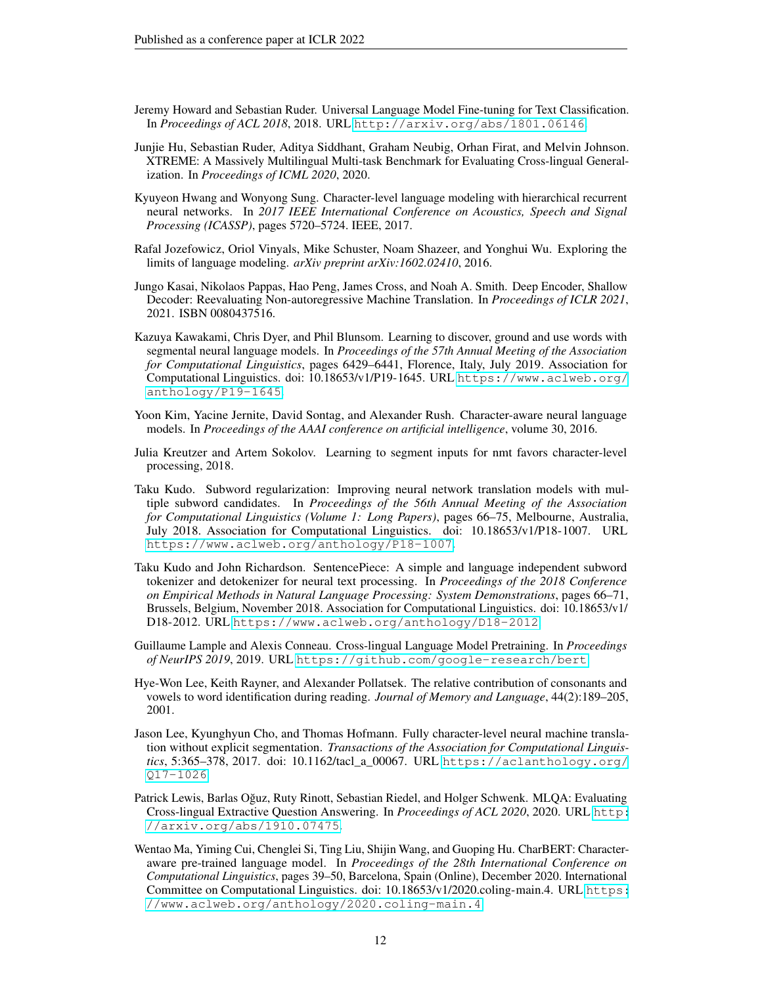- <span id="page-11-0"></span>Jeremy Howard and Sebastian Ruder. Universal Language Model Fine-tuning for Text Classification. In *Proceedings of ACL 2018*, 2018. URL <http://arxiv.org/abs/1801.06146>.
- <span id="page-11-3"></span>Junjie Hu, Sebastian Ruder, Aditya Siddhant, Graham Neubig, Orhan Firat, and Melvin Johnson. XTREME: A Massively Multilingual Multi-task Benchmark for Evaluating Cross-lingual Generalization. In *Proceedings of ICML 2020*, 2020.
- <span id="page-11-8"></span>Kyuyeon Hwang and Wonyong Sung. Character-level language modeling with hierarchical recurrent neural networks. In *2017 IEEE International Conference on Acoustics, Speech and Signal Processing (ICASSP)*, pages 5720–5724. IEEE, 2017.
- <span id="page-11-10"></span>Rafal Jozefowicz, Oriol Vinyals, Mike Schuster, Noam Shazeer, and Yonghui Wu. Exploring the limits of language modeling. *arXiv preprint arXiv:1602.02410*, 2016.
- <span id="page-11-4"></span>Jungo Kasai, Nikolaos Pappas, Hao Peng, James Cross, and Noah A. Smith. Deep Encoder, Shallow Decoder: Reevaluating Non-autoregressive Machine Translation. In *Proceedings of ICLR 2021*, 2021. ISBN 0080437516.
- <span id="page-11-13"></span>Kazuya Kawakami, Chris Dyer, and Phil Blunsom. Learning to discover, ground and use words with segmental neural language models. In *Proceedings of the 57th Annual Meeting of the Association for Computational Linguistics*, pages 6429–6441, Florence, Italy, July 2019. Association for Computational Linguistics. doi: 10.18653/v1/P19-1645. URL [https://www.aclweb.org/](https://www.aclweb.org/anthology/P19-1645) [anthology/P19-1645](https://www.aclweb.org/anthology/P19-1645).
- <span id="page-11-9"></span>Yoon Kim, Yacine Jernite, David Sontag, and Alexander Rush. Character-aware neural language models. In *Proceedings of the AAAI conference on artificial intelligence*, volume 30, 2016.
- <span id="page-11-12"></span>Julia Kreutzer and Artem Sokolov. Learning to segment inputs for nmt favors character-level processing, 2018.
- <span id="page-11-7"></span>Taku Kudo. Subword regularization: Improving neural network translation models with multiple subword candidates. In *Proceedings of the 56th Annual Meeting of the Association for Computational Linguistics (Volume 1: Long Papers)*, pages 66–75, Melbourne, Australia, July 2018. Association for Computational Linguistics. doi: 10.18653/v1/P18-1007. URL <https://www.aclweb.org/anthology/P18-1007>.
- <span id="page-11-1"></span>Taku Kudo and John Richardson. SentencePiece: A simple and language independent subword tokenizer and detokenizer for neural text processing. In *Proceedings of the 2018 Conference on Empirical Methods in Natural Language Processing: System Demonstrations*, pages 66–71, Brussels, Belgium, November 2018. Association for Computational Linguistics. doi: 10.18653/v1/ D18-2012. URL <https://www.aclweb.org/anthology/D18-2012>.
- <span id="page-11-2"></span>Guillaume Lample and Alexis Conneau. Cross-lingual Language Model Pretraining. In *Proceedings of NeurIPS 2019*, 2019. URL <https://github.com/google-research/bert>.
- <span id="page-11-6"></span>Hye-Won Lee, Keith Rayner, and Alexander Pollatsek. The relative contribution of consonants and vowels to word identification during reading. *Journal of Memory and Language*, 44(2):189–205, 2001.
- <span id="page-11-14"></span>Jason Lee, Kyunghyun Cho, and Thomas Hofmann. Fully character-level neural machine translation without explicit segmentation. *Transactions of the Association for Computational Linguistics*, 5:365–378, 2017. doi: 10.1162/tacl\_a\_00067. URL [https://aclanthology.org/](https://aclanthology.org/Q17-1026) [Q17-1026](https://aclanthology.org/Q17-1026).
- <span id="page-11-5"></span>Patrick Lewis, Barlas Oğuz, Ruty Rinott, Sebastian Riedel, and Holger Schwenk. MLQA: Evaluating Cross-lingual Extractive Question Answering. In *Proceedings of ACL 2020*, 2020. URL [http:](http://arxiv.org/abs/1910.07475) [//arxiv.org/abs/1910.07475](http://arxiv.org/abs/1910.07475).
- <span id="page-11-11"></span>Wentao Ma, Yiming Cui, Chenglei Si, Ting Liu, Shijin Wang, and Guoping Hu. CharBERT: Characteraware pre-trained language model. In *Proceedings of the 28th International Conference on Computational Linguistics*, pages 39–50, Barcelona, Spain (Online), December 2020. International Committee on Computational Linguistics. doi: 10.18653/v1/2020.coling-main.4. URL [https:](https://www.aclweb.org/anthology/2020.coling-main.4) [//www.aclweb.org/anthology/2020.coling-main.4](https://www.aclweb.org/anthology/2020.coling-main.4).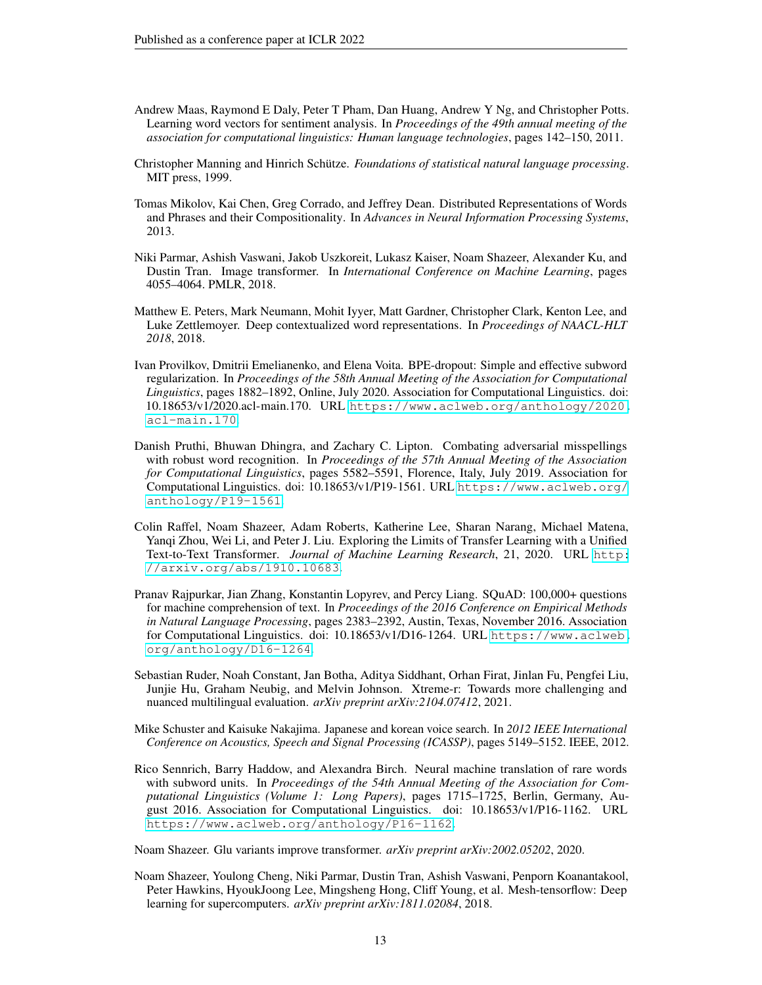- <span id="page-12-9"></span>Andrew Maas, Raymond E Daly, Peter T Pham, Dan Huang, Andrew Y Ng, and Christopher Potts. Learning word vectors for sentiment analysis. In *Proceedings of the 49th annual meeting of the association for computational linguistics: Human language technologies*, pages 142–150, 2011.
- <span id="page-12-2"></span>Christopher Manning and Hinrich Schütze. *Foundations of statistical natural language processing*. MIT press, 1999.
- <span id="page-12-0"></span>Tomas Mikolov, Kai Chen, Greg Corrado, and Jeffrey Dean. Distributed Representations of Words and Phrases and their Compositionality. In *Advances in Neural Information Processing Systems*, 2013.
- <span id="page-12-12"></span>Niki Parmar, Ashish Vaswani, Jakob Uszkoreit, Lukasz Kaiser, Noam Shazeer, Alexander Ku, and Dustin Tran. Image transformer. In *International Conference on Machine Learning*, pages 4055–4064. PMLR, 2018.
- <span id="page-12-1"></span>Matthew E. Peters, Mark Neumann, Mohit Iyyer, Matt Gardner, Christopher Clark, Kenton Lee, and Luke Zettlemoyer. Deep contextualized word representations. In *Proceedings of NAACL-HLT 2018*, 2018.
- <span id="page-12-10"></span>Ivan Provilkov, Dmitrii Emelianenko, and Elena Voita. BPE-dropout: Simple and effective subword regularization. In *Proceedings of the 58th Annual Meeting of the Association for Computational Linguistics*, pages 1882–1892, Online, July 2020. Association for Computational Linguistics. doi: 10.18653/v1/2020.acl-main.170. URL [https://www.aclweb.org/anthology/2020.](https://www.aclweb.org/anthology/2020.acl-main.170) [acl-main.170](https://www.aclweb.org/anthology/2020.acl-main.170).
- <span id="page-12-5"></span>Danish Pruthi, Bhuwan Dhingra, and Zachary C. Lipton. Combating adversarial misspellings with robust word recognition. In *Proceedings of the 57th Annual Meeting of the Association for Computational Linguistics*, pages 5582–5591, Florence, Italy, July 2019. Association for Computational Linguistics. doi: 10.18653/v1/P19-1561. URL [https://www.aclweb.org/](https://www.aclweb.org/anthology/P19-1561) [anthology/P19-1561](https://www.aclweb.org/anthology/P19-1561).
- <span id="page-12-6"></span>Colin Raffel, Noam Shazeer, Adam Roberts, Katherine Lee, Sharan Narang, Michael Matena, Yanqi Zhou, Wei Li, and Peter J. Liu. Exploring the Limits of Transfer Learning with a Unified Text-to-Text Transformer. *Journal of Machine Learning Research*, 21, 2020. URL [http:](http://arxiv.org/abs/1910.10683) [//arxiv.org/abs/1910.10683](http://arxiv.org/abs/1910.10683).
- <span id="page-12-8"></span>Pranav Rajpurkar, Jian Zhang, Konstantin Lopyrev, and Percy Liang. SQuAD: 100,000+ questions for machine comprehension of text. In *Proceedings of the 2016 Conference on Empirical Methods in Natural Language Processing*, pages 2383–2392, Austin, Texas, November 2016. Association for Computational Linguistics. doi: 10.18653/v1/D16-1264. URL [https://www.aclweb.](https://www.aclweb.org/anthology/D16-1264) [org/anthology/D16-1264](https://www.aclweb.org/anthology/D16-1264).
- <span id="page-12-11"></span>Sebastian Ruder, Noah Constant, Jan Botha, Aditya Siddhant, Orhan Firat, Jinlan Fu, Pengfei Liu, Junjie Hu, Graham Neubig, and Melvin Johnson. Xtreme-r: Towards more challenging and nuanced multilingual evaluation. *arXiv preprint arXiv:2104.07412*, 2021.
- <span id="page-12-3"></span>Mike Schuster and Kaisuke Nakajima. Japanese and korean voice search. In *2012 IEEE International Conference on Acoustics, Speech and Signal Processing (ICASSP)*, pages 5149–5152. IEEE, 2012.
- <span id="page-12-4"></span>Rico Sennrich, Barry Haddow, and Alexandra Birch. Neural machine translation of rare words with subword units. In *Proceedings of the 54th Annual Meeting of the Association for Computational Linguistics (Volume 1: Long Papers)*, pages 1715–1725, Berlin, Germany, August 2016. Association for Computational Linguistics. doi: 10.18653/v1/P16-1162. URL <https://www.aclweb.org/anthology/P16-1162>.

<span id="page-12-7"></span>Noam Shazeer. Glu variants improve transformer. *arXiv preprint arXiv:2002.05202*, 2020.

<span id="page-12-13"></span>Noam Shazeer, Youlong Cheng, Niki Parmar, Dustin Tran, Ashish Vaswani, Penporn Koanantakool, Peter Hawkins, HyoukJoong Lee, Mingsheng Hong, Cliff Young, et al. Mesh-tensorflow: Deep learning for supercomputers. *arXiv preprint arXiv:1811.02084*, 2018.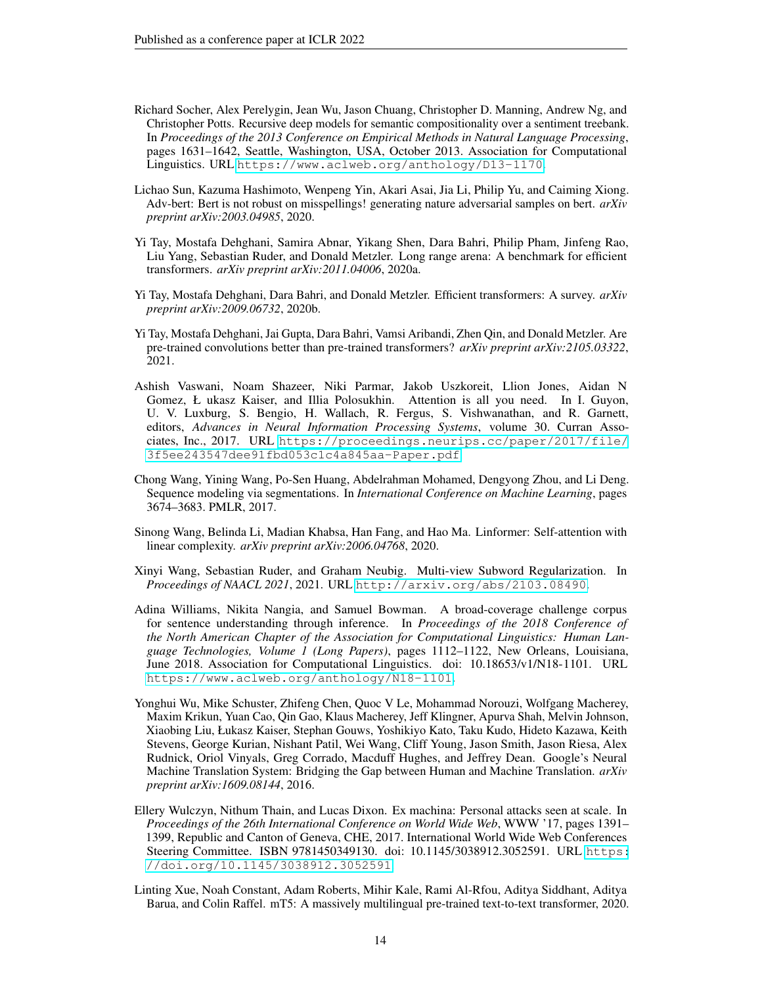- <span id="page-13-6"></span>Richard Socher, Alex Perelygin, Jean Wu, Jason Chuang, Christopher D. Manning, Andrew Ng, and Christopher Potts. Recursive deep models for semantic compositionality over a sentiment treebank. In *Proceedings of the 2013 Conference on Empirical Methods in Natural Language Processing*, pages 1631–1642, Seattle, Washington, USA, October 2013. Association for Computational Linguistics. URL <https://www.aclweb.org/anthology/D13-1170>.
- <span id="page-13-1"></span>Lichao Sun, Kazuma Hashimoto, Wenpeng Yin, Akari Asai, Jia Li, Philip Yu, and Caiming Xiong. Adv-bert: Bert is not robust on misspellings! generating nature adversarial samples on bert. *arXiv preprint arXiv:2003.04985*, 2020.
- <span id="page-13-12"></span>Yi Tay, Mostafa Dehghani, Samira Abnar, Yikang Shen, Dara Bahri, Philip Pham, Jinfeng Rao, Liu Yang, Sebastian Ruder, and Donald Metzler. Long range arena: A benchmark for efficient transformers. *arXiv preprint arXiv:2011.04006*, 2020a.
- <span id="page-13-11"></span>Yi Tay, Mostafa Dehghani, Dara Bahri, and Donald Metzler. Efficient transformers: A survey. *arXiv preprint arXiv:2009.06732*, 2020b.
- <span id="page-13-8"></span>Yi Tay, Mostafa Dehghani, Jai Gupta, Dara Bahri, Vamsi Aribandi, Zhen Qin, and Donald Metzler. Are pre-trained convolutions better than pre-trained transformers? *arXiv preprint arXiv:2105.03322*, 2021.
- <span id="page-13-5"></span>Ashish Vaswani, Noam Shazeer, Niki Parmar, Jakob Uszkoreit, Llion Jones, Aidan N Gomez, Ł ukasz Kaiser, and Illia Polosukhin. Attention is all you need. In I. Guyon, U. V. Luxburg, S. Bengio, H. Wallach, R. Fergus, S. Vishwanathan, and R. Garnett, editors, *Advances in Neural Information Processing Systems*, volume 30. Curran Associates, Inc., 2017. URL [https://proceedings.neurips.cc/paper/2017/file/](https://proceedings.neurips.cc/paper/2017/file/3f5ee243547dee91fbd053c1c4a845aa-Paper.pdf) [3f5ee243547dee91fbd053c1c4a845aa-Paper.pdf](https://proceedings.neurips.cc/paper/2017/file/3f5ee243547dee91fbd053c1c4a845aa-Paper.pdf).
- <span id="page-13-9"></span>Chong Wang, Yining Wang, Po-Sen Huang, Abdelrahman Mohamed, Dengyong Zhou, and Li Deng. Sequence modeling via segmentations. In *International Conference on Machine Learning*, pages 3674–3683. PMLR, 2017.
- <span id="page-13-10"></span>Sinong Wang, Belinda Li, Madian Khabsa, Han Fang, and Hao Ma. Linformer: Self-attention with linear complexity. *arXiv preprint arXiv:2006.04768*, 2020.
- <span id="page-13-2"></span>Xinyi Wang, Sebastian Ruder, and Graham Neubig. Multi-view Subword Regularization. In *Proceedings of NAACL 2021*, 2021. URL <http://arxiv.org/abs/2103.08490>.
- <span id="page-13-7"></span>Adina Williams, Nikita Nangia, and Samuel Bowman. A broad-coverage challenge corpus for sentence understanding through inference. In *Proceedings of the 2018 Conference of the North American Chapter of the Association for Computational Linguistics: Human Language Technologies, Volume 1 (Long Papers)*, pages 1112–1122, New Orleans, Louisiana, June 2018. Association for Computational Linguistics. doi: 10.18653/v1/N18-1101. URL <https://www.aclweb.org/anthology/N18-1101>.
- <span id="page-13-0"></span>Yonghui Wu, Mike Schuster, Zhifeng Chen, Quoc V Le, Mohammad Norouzi, Wolfgang Macherey, Maxim Krikun, Yuan Cao, Qin Gao, Klaus Macherey, Jeff Klingner, Apurva Shah, Melvin Johnson, Xiaobing Liu, Łukasz Kaiser, Stephan Gouws, Yoshikiyo Kato, Taku Kudo, Hideto Kazawa, Keith Stevens, George Kurian, Nishant Patil, Wei Wang, Cliff Young, Jason Smith, Jason Riesa, Alex Rudnick, Oriol Vinyals, Greg Corrado, Macduff Hughes, and Jeffrey Dean. Google's Neural Machine Translation System: Bridging the Gap between Human and Machine Translation. *arXiv preprint arXiv:1609.08144*, 2016.
- <span id="page-13-3"></span>Ellery Wulczyn, Nithum Thain, and Lucas Dixon. Ex machina: Personal attacks seen at scale. In *Proceedings of the 26th International Conference on World Wide Web*, WWW '17, pages 1391– 1399, Republic and Canton of Geneva, CHE, 2017. International World Wide Web Conferences Steering Committee. ISBN 9781450349130. doi: 10.1145/3038912.3052591. URL [https:](https://doi.org/10.1145/3038912.3052591) [//doi.org/10.1145/3038912.3052591](https://doi.org/10.1145/3038912.3052591).
- <span id="page-13-4"></span>Linting Xue, Noah Constant, Adam Roberts, Mihir Kale, Rami Al-Rfou, Aditya Siddhant, Aditya Barua, and Colin Raffel. mT5: A massively multilingual pre-trained text-to-text transformer, 2020.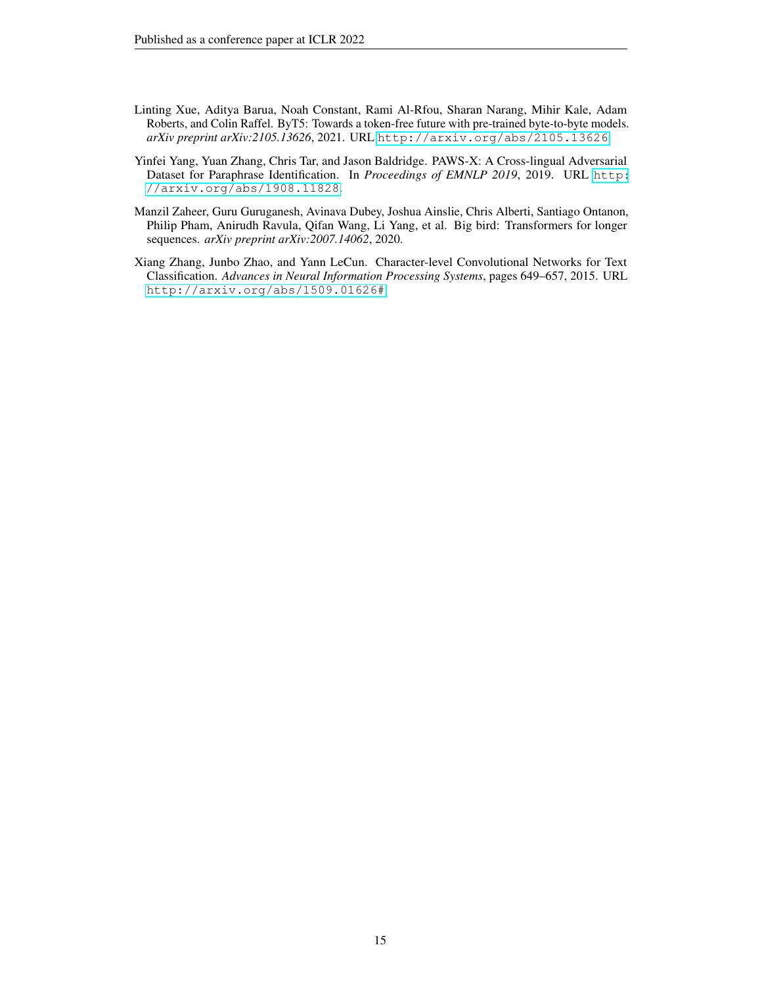- <span id="page-14-0"></span>Linting Xue, Aditya Barua, Noah Constant, Rami Al-Rfou, Sharan Narang, Mihir Kale, Adam Roberts, and Colin Raffel. ByT5: Towards a token-free future with pre-trained byte-to-byte models. *arXiv preprint arXiv:2105.13626*, 2021. URL <http://arxiv.org/abs/2105.13626>.
- <span id="page-14-2"></span>Yinfei Yang, Yuan Zhang, Chris Tar, and Jason Baldridge. PAWS-X: A Cross-lingual Adversarial Dataset for Paraphrase Identification. In *Proceedings of EMNLP 2019*, 2019. URL [http:](http://arxiv.org/abs/1908.11828) [//arxiv.org/abs/1908.11828](http://arxiv.org/abs/1908.11828).
- <span id="page-14-3"></span>Manzil Zaheer, Guru Guruganesh, Avinava Dubey, Joshua Ainslie, Chris Alberti, Santiago Ontanon, Philip Pham, Anirudh Ravula, Qifan Wang, Li Yang, et al. Big bird: Transformers for longer sequences. *arXiv preprint arXiv:2007.14062*, 2020.
- <span id="page-14-1"></span>Xiang Zhang, Junbo Zhao, and Yann LeCun. Character-level Convolutional Networks for Text Classification. *Advances in Neural Information Processing Systems*, pages 649–657, 2015. URL <http://arxiv.org/abs/1509.01626#>.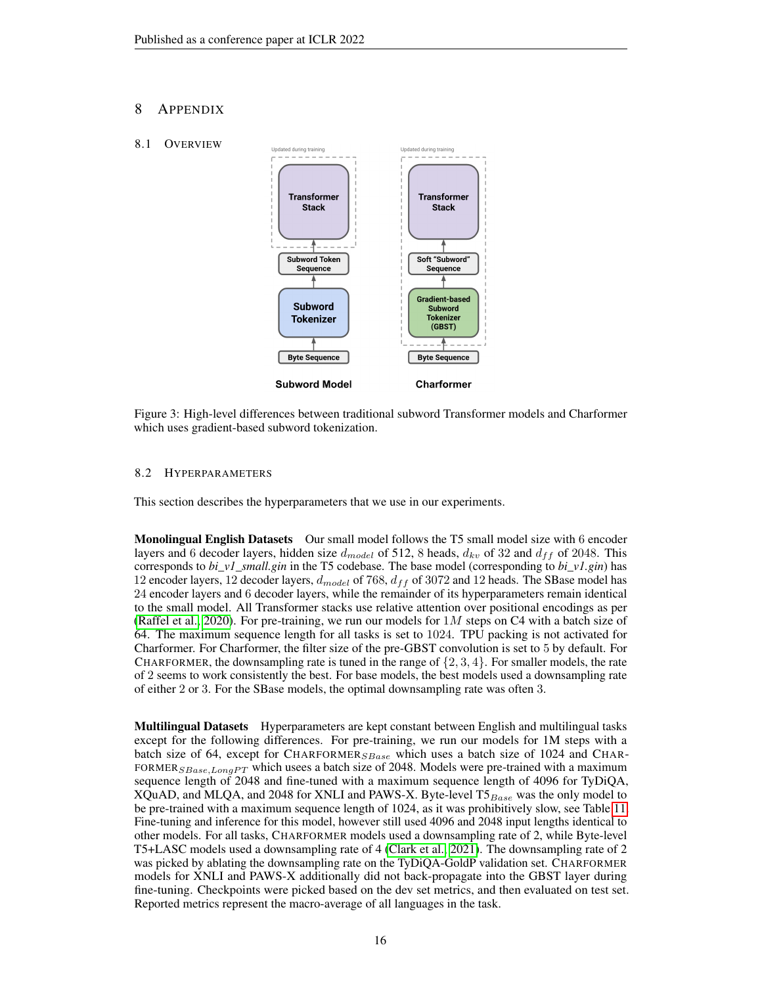# 8 APPENDIX

## 8.1 OVERVIEW

<span id="page-15-0"></span>

Figure 3: High-level differences between traditional subword Transformer models and Charformer which uses gradient-based subword tokenization.

# <span id="page-15-1"></span>8.2 HYPERPARAMETERS

This section describes the hyperparameters that we use in our experiments.

Monolingual English Datasets Our small model follows the T5 small model size with 6 encoder layers and 6 decoder layers, hidden size  $d_{model}$  of 512, 8 heads,  $d_{kv}$  of 32 and  $d_{ff}$  of 2048. This corresponds to *bi\_v1\_small.gin* in the T5 codebase. The base model (corresponding to *bi\_v1.gin*) has 12 encoder layers, 12 decoder layers,  $d_{model}$  of 768,  $d_{ff}$  of 3072 and 12 heads. The SBase model has 24 encoder layers and 6 decoder layers, while the remainder of its hyperparameters remain identical to the small model. All Transformer stacks use relative attention over positional encodings as per [\(Raffel et al., 2020\)](#page-12-6). For pre-training, we run our models for  $1M$  steps on C4 with a batch size of 64. The maximum sequence length for all tasks is set to 1024. TPU packing is not activated for Charformer. For Charformer, the filter size of the pre-GBST convolution is set to 5 by default. For CHARFORMER, the downsampling rate is tuned in the range of  $\{2, 3, 4\}$ . For smaller models, the rate of 2 seems to work consistently the best. For base models, the best models used a downsampling rate of either 2 or 3. For the SBase models, the optimal downsampling rate was often 3.

**Multilingual Datasets** Hyperparameters are kept constant between English and multilingual tasks except for the following differences. For pre-training, we run our models for 1M steps with a batch size of 64, except for CHARFORMER<sub>SBase</sub> which uses a batch size of 1024 and CHAR-FORMER<sub>SBase,LongPT</sub> which usees a batch size of 2048. Models were pre-trained with a maximum sequence length of 2048 and fine-tuned with a maximum sequence length of 4096 for TyDiQA, XQuAD, and MLQA, and 2048 for XNLI and PAWS-X. Byte-level  $T5_{Base}$  was the only model to be pre-trained with a maximum sequence length of 1024, as it was prohibitively slow, see Table [11.](#page-17-0) Fine-tuning and inference for this model, however still used 4096 and 2048 input lengths identical to other models. For all tasks, CHARFORMER models used a downsampling rate of 2, while Byte-level T5+LASC models used a downsampling rate of 4 [\(Clark et al., 2021\)](#page-10-2). The downsampling rate of 2 was picked by ablating the downsampling rate on the TyDiQA-GoldP validation set. CHARFORMER models for XNLI and PAWS-X additionally did not back-propagate into the GBST layer during fine-tuning. Checkpoints were picked based on the dev set metrics, and then evaluated on test set. Reported metrics represent the macro-average of all languages in the task.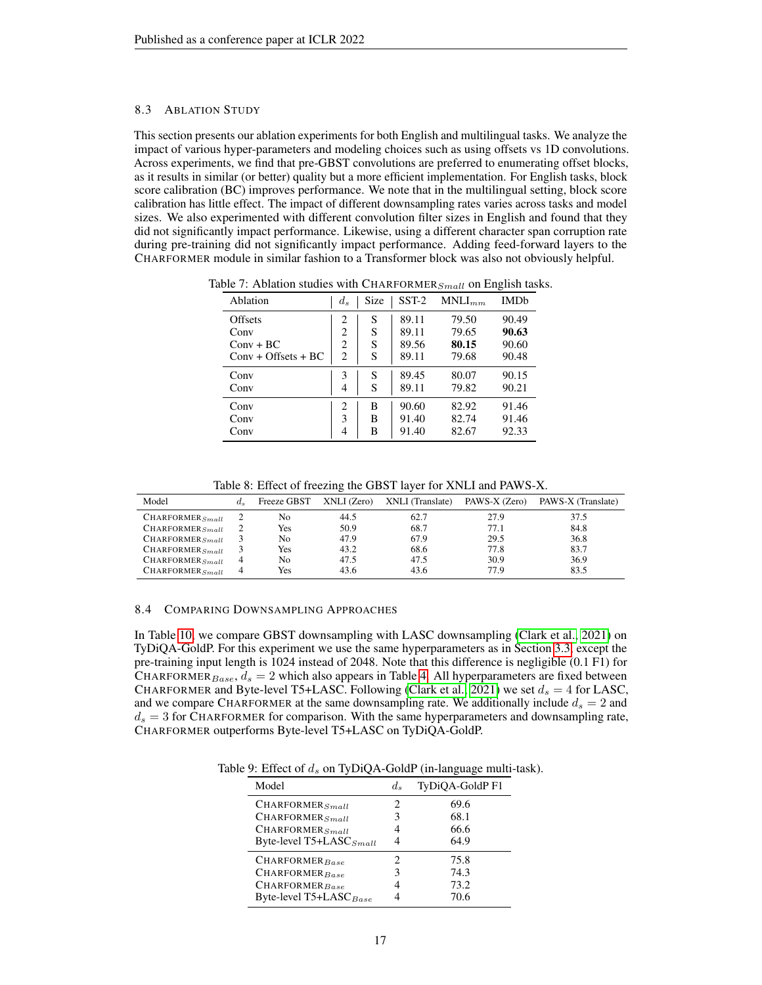#### <span id="page-16-0"></span>8.3 ABLATION STUDY

This section presents our ablation experiments for both English and multilingual tasks. We analyze the impact of various hyper-parameters and modeling choices such as using offsets vs 1D convolutions. Across experiments, we find that pre-GBST convolutions are preferred to enumerating offset blocks, as it results in similar (or better) quality but a more efficient implementation. For English tasks, block score calibration (BC) improves performance. We note that in the multilingual setting, block score calibration has little effect. The impact of different downsampling rates varies across tasks and model sizes. We also experimented with different convolution filter sizes in English and found that they did not significantly impact performance. Likewise, using a different character span corruption rate during pre-training did not significantly impact performance. Adding feed-forward layers to the CHARFORMER module in similar fashion to a Transformer block was also not obviously helpful.

| Ablation              | $d_s$          | Size | $SST-2$ | $MNLI_{mm}$ | <b>IMD<sub>b</sub></b> |
|-----------------------|----------------|------|---------|-------------|------------------------|
| Offsets               | 2              | S    | 89.11   | 79.50       | 90.49                  |
| Conv                  | 2              | S    | 89.11   | 79.65       | 90.63                  |
| $Conv + BC$           | $\overline{c}$ | S    | 89.56   | 80.15       | 90.60                  |
| $Conv + Offsets + BC$ | $\overline{c}$ | S    | 89.11   | 79.68       | 90.48                  |
| Conv                  | 3              | S    | 89.45   | 80.07       | 90.15                  |
| Conv                  | 4              | S    | 89.11   | 79.82       | 90.21                  |
| Conv                  | 2              | В    | 90.60   | 82.92       | 91.46                  |
| Conv                  | 3              | B    | 91.40   | 82.74       | 91.46                  |
| Conv                  | 4              | В    | 91.40   | 82.67       | 92.33                  |

Table 7: Ablation studies with CHARFORMER $_{Small}$  on English tasks.

Table 8: Effect of freezing the GBST layer for XNLI and PAWS-X.

| Model                | $d_{s}$ | Freeze GBST | XNLI (Zero) | XNLI (Translate) | PAWS-X (Zero) | PAWS-X (Translate) |
|----------------------|---------|-------------|-------------|------------------|---------------|--------------------|
| $CHARFORMER_{Small}$ |         | No          | 44.5        | 62.7             | 27.9          | 37.5               |
| $CHAPTER_{Small}$    |         | Yes         | 50.9        | 68.7             | 77.1          | 84.8               |
| $CHARFORMER_{Small}$ |         | No          | 47.9        | 67.9             | 29.5          | 36.8               |
| $CHAPTER_{Small}$    |         | Yes         | 43.2        | 68.6             | 77.8          | 83.7               |
| $CHARFORMER_{Small}$ |         | No          | 47.5        | 47.5             | 30.9          | 36.9               |
| $CHARFORMER_{Small}$ |         | Yes         | 43.6        | 43.6             | 77.9          | 83.5               |

#### <span id="page-16-1"></span>8.4 COMPARING DOWNSAMPLING APPROACHES

In Table [10,](#page-17-1) we compare GBST downsampling with LASC downsampling [\(Clark et al., 2021\)](#page-10-2) on TyDiQA-GoldP. For this experiment we use the same hyperparameters as in Section [3.3,](#page-5-3) except the pre-training input length is 1024 instead of 2048. Note that this difference is negligible (0.1 F1) for CHARFORMER $_{Base}$ ,  $d_s = 2$  which also appears in Table [4.](#page-6-1) All hyperparameters are fixed between CHARFORMER and Byte-level T5+LASC. Following [\(Clark et al., 2021\)](#page-10-2) we set  $d_s = 4$  for LASC, and we compare CHARFORMER at the same downsampling rate. We additionally include  $d_s = 2$  and  $d_s = 3$  for CHARFORMER for comparison. With the same hyperparameters and downsampling rate, CHARFORMER outperforms Byte-level T5+LASC on TyDiQA-GoldP.

Table 9: Effect of  $d_s$  on TyDiQA-GoldP (in-language multi-task).

| Model                               | $d_{\cdot}$ | TyDiQA-GoldP F1 |
|-------------------------------------|-------------|-----------------|
| $CHAPTER_{Small}$                   | 2           | 69.6            |
| $CHAPTER_{Small}$                   | 3           | 68.1            |
| $CHAPTER_{Small}$                   | 4           | 66.6            |
| Byte-level T5+LASC <sub>Small</sub> | 4           | 64.9            |
| $CHAPTER_{Base}$                    | 2           | 75.8            |
| $CHAPTER_{Base}$                    | 3           | 74.3            |
| $CHAPTER_{Base}$                    | 4           | 73.2            |
| Byte-level T5+LASC <sub>Base</sub>  |             | 70.6            |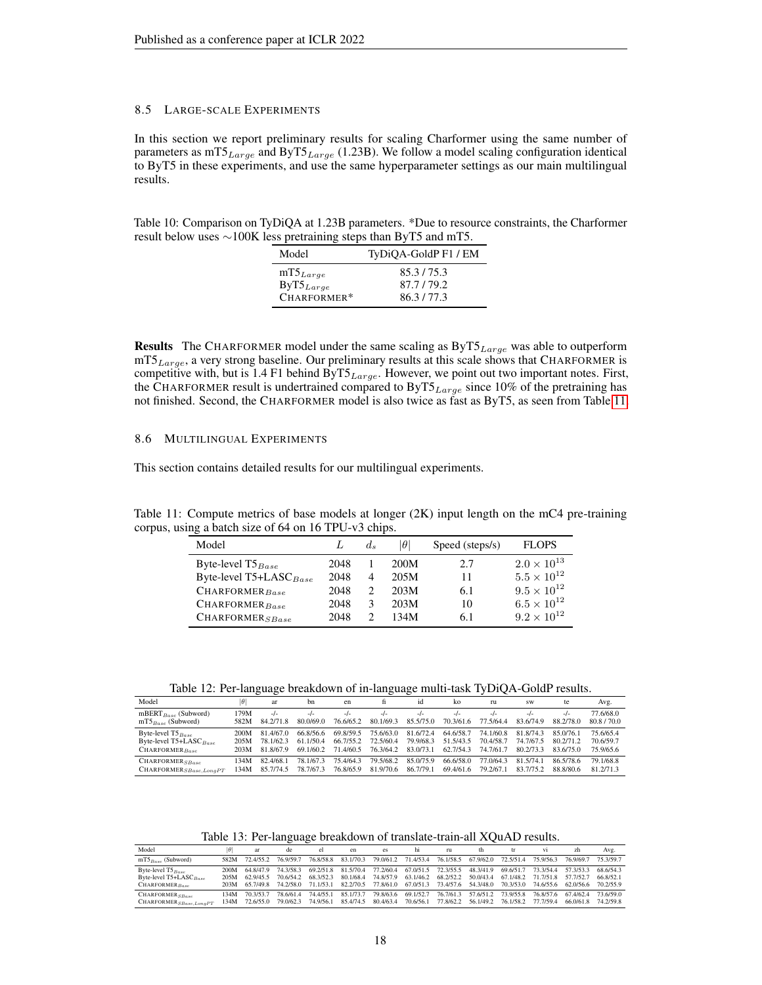#### 8.5 LARGE-SCALE EXPERIMENTS

In this section we report preliminary results for scaling Charformer using the same number of parameters as  $mTS_{Large}$  and ByT5 $_{Large}$  (1.23B). We follow a model scaling configuration identical to ByT5 in these experiments, and use the same hyperparameter settings as our main multilingual results.

<span id="page-17-1"></span>Table 10: Comparison on TyDiQA at 1.23B parameters. \*Due to resource constraints, the Charformer result below uses ∼100K less pretraining steps than ByT5 and mT5.

| Model          | TyDiQA-GoldP F1 / EM |
|----------------|----------------------|
| $mT5_{Large}$  | 85.3/75.3            |
| $ByT5_{Large}$ | 87.7/79.2            |
| CHARFORMER*    | 86.3/77.3            |

**Results** The CHARFORMER model under the same scaling as  $ByT5_{Large}$  was able to outperform  $mT5_{Large}$ , a very strong baseline. Our preliminary results at this scale shows that CHARFORMER is competitive with, but is 1.4 F1 behind ByT $5_{Large}$ . However, we point out two important notes. First, the CHARFORMER result is undertrained compared to ByT $5_{Large}$  since 10% of the pretraining has not finished. Second, the CHARFORMER model is also twice as fast as ByT5, as seen from Table [11.](#page-17-0)

#### 8.6 MULTILINGUAL EXPERIMENTS

This section contains detailed results for our multilingual experiments.

<span id="page-17-0"></span>Table 11: Compute metrics of base models at longer (2K) input length on the mC4 pre-training corpus, using a batch size of 64 on 16 TPU-v3 chips.

| Model                              |      | $d_{s}$ | $ \theta $ | Speed (steps/s) | FLOPS                |
|------------------------------------|------|---------|------------|-----------------|----------------------|
| Byte-level $T5_{Base}$             | 2048 |         | 200M       | 2.7             | $2.0 \times 10^{13}$ |
| Byte-level T5+LASC <sub>Base</sub> | 2048 |         | 205M       | 11              | $5.5 \times 10^{12}$ |
| $CHAPTER_{Base}$                   | 2048 |         | 203M       | 6.1             | $9.5 \times 10^{12}$ |
| CHAPTER <sub>Base</sub>            | 2048 | 3       | 203M       | 10              | $6.5 \times 10^{12}$ |
| $CHAPTER_{SBase}$                  | 2048 |         | 134M       | 6.1             | $9.2 \times 10^{12}$ |

Table 12: Per-language breakdown of in-language multi-task TyDiQA-GoldP results.

| Model                       | $\theta$ | ar        | hn        | en        |           | id        | ko        | ru        | <b>SW</b> | te        | Avg.      |
|-----------------------------|----------|-----------|-----------|-----------|-----------|-----------|-----------|-----------|-----------|-----------|-----------|
| mBERT $_{Base}$ (Subword)   | 179M     | -/-       | $-I -$    | $-l$      | $-I -$    | $-I -$    | $-I -$    | $-I -$    | $-I -$    | $-I -$    | 77.6/68.0 |
| $mTS_{Base}$ (Subword)      | 582M     | 84.2/71.8 | 80.0/69.0 | 76.6/65.2 | 80.1/69.3 | 85.5/75.0 | 70.3/61.6 | 77.5/64.4 | 83.6/74.9 | 88.2/78.0 | 80.8/70.0 |
| Byte-level $T5_{Base}$      | 200M     | 81.4/67.0 | 66.8/56.6 | 69.8/59.5 | 75.6/63.0 | 81.6/72.4 | 64.6/58.7 | 74.1/60.8 | 81.8/74.3 | 85.0/76.1 | 75.6/65.4 |
| Byte-level $T5+LASC_{Base}$ | 205M     | 78 1/62 3 | 61 1/50 4 | 66.7/55.2 | 72.5/60.4 | 79.9/68.3 | 51.5/43.5 | 70.4/58.7 | 74.7/67.5 | 80.2/71.2 | 70.6/59.7 |
| $CHAPTER_{Base}$            | 203M     | 81.8/67.9 | 69.1/60.2 | 71.4/60.5 | 76.3/64.2 | 83.0/73.1 | 62.7/54.3 | 74.7/61.7 | 80.2/73.3 | 83.6/75.0 | 75.9/65.6 |
| $CHAPTER_{SBase}$           | 34M      | 82.4/68.1 | 78.1/67.3 | 75.4/64.3 | 79.5/68.2 | 85.0/75.9 | 66.6/58.0 | 77.0/64.3 | 81.5/74.1 | 86.5/78.6 | 79.1/68.8 |
| CHAPTERSBase, LongPT        | 34M      | 85.7/74.5 | 78.7/67.3 | 76.8/65.9 | 81.9/70.6 | 86.7/79.1 | 69.4/61.6 | 79.2/67.1 | 83.7/75.2 | 88.8/80.6 | 81.2/71.3 |

Table 13: Per-language breakdown of translate-train-all XQuAD results.

| Model                                                                              |                      | ar                                  | de                                  | el                     | en                     | es.                                                                                   | hı                     | ru                     | th                                  | tr                                  |                                     | zh                                  | Avg.                                |
|------------------------------------------------------------------------------------|----------------------|-------------------------------------|-------------------------------------|------------------------|------------------------|---------------------------------------------------------------------------------------|------------------------|------------------------|-------------------------------------|-------------------------------------|-------------------------------------|-------------------------------------|-------------------------------------|
| $mTS_{Base}$ (Subword)                                                             | 582M                 | 72.4/55.2                           | 76.9/59.7                           | 76.8/58.8              | 83.1/70.3              |                                                                                       | 79.0/61.2 71.4/53.4    | 76.1/58.5              | 67.9/62.0                           | 72.5/51.4                           | 75.9/56.3                           | 76.9/69.7                           | 75.3/59.7                           |
| Byte-level $T5_{Base}$<br>Byte-level $T5+LASC$ <sub>Base</sub><br>$CHAPTER_{Base}$ | 200M<br>205M<br>203M | 64.8/47.9<br>62.9/45.5<br>65.7/49.8 | 74.3/58.3<br>70.6/54.2<br>74.2/58.0 | 68.3/52.3<br>71.1/53.1 | 80.1/68.4              | 69.2/51.8 81.5/70.4 77.2/60.4 67.0/51.5 72.3/55.5<br>74.8/57.9<br>82.2/70.5 77.8/61.0 | 63.1/46.2 68.2/52.2    | 67.0/51.3 73.4/57.6    | 48.3/41.9<br>50.0/43.4<br>54.3/48.0 | 69.6/51.7<br>67.1/48.2<br>70.3/53.0 | 73.3/54.4<br>71.7/51.8<br>74.6/55.6 | 57.3/53.3<br>57.7/52.7<br>62.0/56.6 | 68.6/54.3<br>66.8/52.1<br>70.2/55.9 |
| $CHAPTER_{SBase}$<br>$CHAPTER_{SBase,LongPT}$                                      | 34M<br>34M           | 70.3/53.7<br>72.6/55.0              | 78.6/61.4<br>79.0/62.3              | 74.4/55.1<br>74.9/56.1 | 85.1/73.7<br>85.4/74.5 | 79.8/63.6<br>80.4/63.4                                                                | 69.1/52.7<br>70.6/56.1 | 76.7/61.3<br>77.8/62.2 | 57.6/51.2<br>56.1/49.2              | 73.9/55.8<br>76.1/58.2              | 76.8/57.6<br>77.7/59.4              | 67.4/62.4<br>66.0/61.8              | 73.6/59.0<br>74.2/59.8              |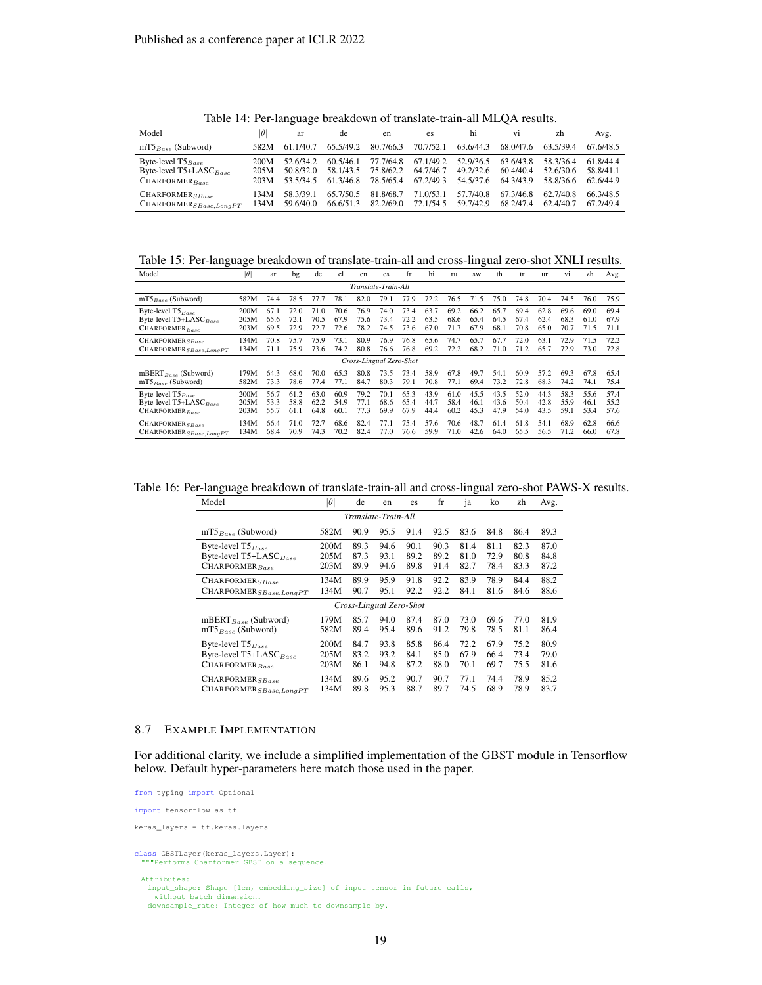| Model                       | $\theta$ | ar        | de        | en        | es        | hi        | V1        | zh        | Avg.      |
|-----------------------------|----------|-----------|-----------|-----------|-----------|-----------|-----------|-----------|-----------|
| $mTS_{Base}$ (Subword)      | 582M     | 61 1/40 7 | 65.5/49.2 | 80.7/66.3 | 70.7/52.1 | 63.6/44.3 | 68.0/47.6 | 63 5/39 4 | 67.6/48.5 |
| Byte-level $T5_{Base}$      | 200M     | 52.6/34.2 | 60.5/46.1 | 77.7/64.8 | 67.1/49.2 | 52.9/36.5 | 63.6/43.8 | 58.3/36.4 | 61.8/44.4 |
| Byte-level $T5+LASC_{Base}$ | 205M     | 50.8/32.0 | 58.1/43.5 | 75.8/62.2 | 64.7/46.7 | 49.2/32.6 | 60.4/40.4 | 52.6/30.6 | 58.8/41.1 |
| $CHAPTER_{Base}$            | 203M     | 53 5/34 5 | 61 3/46 8 | 78.5/65.4 | 67.2/49.3 | 54.5/37.6 | 64.3/43.9 | 58.8/36.6 | 62.6/44.9 |
| $CHAPTER_{SBase}$           | 134M     | 58 3/39 1 | 65.7/50.5 | 81.8/68.7 | 71.0/53.1 | 57 7/40 8 | 67 3/46 8 | 62.7/40.8 | 66.3/48.5 |
| $CHAPTER_{SBase,LongPT}$    | 134M     | 59 6/40 0 | 66.6/51.3 | 82.2/69.0 | 72.1/54.5 | 59.7/42.9 | 68 2/47 4 | 62.4/40.7 | 67 2/49 4 |

Table 14: Per-language breakdown of translate-train-all MLQA results.

Table 15: Per-language breakdown of translate-train-all and cross-lingual zero-shot XNLI results.

| Model                                | $ \theta $ | ar   | bg   | de   | el   | en                      | es   | fr   | hi   | ru   | <b>SW</b> | th   | tr   | <b>ur</b> | Vi   | zh   | Avg. |
|--------------------------------------|------------|------|------|------|------|-------------------------|------|------|------|------|-----------|------|------|-----------|------|------|------|
| Translate-Train-All                  |            |      |      |      |      |                         |      |      |      |      |           |      |      |           |      |      |      |
| $mTS_{Base}$ (Subword)               | 582M       | 74.4 | 78.5 | 77.7 | 78.1 | 82.0                    | 79.1 | 77.9 | 72.2 | 76.5 | 71.5      | 75.0 | 74.8 | 70.4      | 74.5 | 76.0 | 75.9 |
| Byte-level $T5_{Base}$               | 200M       | 67.1 | 72.0 | 71.0 | 70.6 | 76.9                    | 74.0 | 73.4 | 63.7 | 69.2 | 66.2      | 65.7 | 69.4 | 62.8      | 69.6 | 69.0 | 69.4 |
| Byte-level T5+LASC <sub>Base</sub>   | 205M       | 65.6 | 72.1 | 70.5 | 67.9 | 75.6                    | 73.4 | 72.2 | 63.5 | 68.6 | 65.4      | 64.5 | 67.4 | 62.4      | 68.3 | 61.0 | 67.9 |
| CHARFORMER <sub>Base</sub>           | 203M       | 69.5 | 72.9 | 72.7 | 72.6 | 78.2                    | 74.5 | 73.6 | 67.0 | 71.7 | 67.9      | 68.1 | 70.8 | 65.0      | 70.7 | 71.5 | 71.1 |
| CHARFORMER <sub>SBase</sub>          | 134M       | 70.8 | 75.7 | 75.9 | 73.1 | 80.9                    | 76.9 | 76.8 | 65.6 | 74.7 | 65.7      | 67.7 | 72.0 | 63.1      | 72.9 | 71.5 | 72.2 |
| $\texttt{CHARPORMER}_{SBase,LongPT}$ | 134M       | 71.1 | 75.9 | 73.6 | 74.2 | 80.8                    | 76.6 | 76.8 | 69.2 | 72.2 | 68.2      | 71.0 | 71.2 | 65.7      | 72.9 | 73.0 | 72.8 |
|                                      |            |      |      |      |      | Cross-Lingual Zero-Shot |      |      |      |      |           |      |      |           |      |      |      |
| mBERT $_{Base}$ (Subword)            | 179M       | 64.3 | 68.0 | 70.0 | 65.3 | 80.8                    | 73.5 | 73.4 | 58.9 | 67.8 | 49.7      | 54.1 | 60.9 | 57.2      | 69.3 | 67.8 | 65.4 |
| $mTS_{Base}$ (Subword)               | 582M       | 73.3 | 78.6 | 77.4 | 77.1 | 84.7                    | 80.3 | 79.1 | 70.8 | 77.1 | 69.4      | 73.2 | 72.8 | 68.3      | 74.2 | 74.1 | 75.4 |
| Byte-level $T5_{Base}$               | 200M       | 56.7 | 61.2 | 63.0 | 60.9 | 79.2                    | 70.1 | 65.3 | 43.9 | 61.0 | 45.5      | 43.5 | 52.0 | 44.3      | 58.3 | 55.6 | 57.4 |
| Byte-level T5+LASC <sub>Base</sub>   | 205M       | 53.3 | 58.8 | 62.2 | 54.9 | 77.1                    | 68.6 | 65.4 | 44.7 | 58.4 | 46.1      | 43.6 | 50.4 | 42.8      | 55.9 | 46.1 | 55.2 |
| CHARFORMER <sub>Base</sub>           | 203M       | 55.7 | 61.1 | 64.8 | 60.1 | 77.3                    | 69.9 | 67.9 | 44.4 | 60.2 | 45.3      | 47.9 | 54.0 | 43.5      | 59.1 | 53.4 | 57.6 |
| CHARFORMER <sub>SBase</sub>          | 134M       | 66.4 | 71.0 | 72.7 | 68.6 | 82.4                    | 77.1 | 75.4 | 57.6 | 70.6 | 48.7      | 61.4 | 61.8 | 54.1      | 68.9 | 62.8 | 66.6 |
| $\textbf{CHAPTER}_{SBase,LongPT}$    | 134M       | 68.4 | 70.9 | 74.3 | 70.2 | 82.4                    | 77.0 | 76.6 | 59.9 | 71.0 | 42.6      | 64.0 | 65.5 | 56.5      | 71.2 | 66.0 | 67.8 |

Table 16: Per-language breakdown of translate-train-all and cross-lingual zero-shot PAWS-X results.

| Model                              | $ \theta $ | de   | en   | es   | fr   | ia   | ko   | zh   | Avg. |  |  |  |
|------------------------------------|------------|------|------|------|------|------|------|------|------|--|--|--|
| Translate-Train-All                |            |      |      |      |      |      |      |      |      |  |  |  |
| $mT5_{Base}$ (Subword)             | 582M       | 90.9 | 95.5 | 91.4 | 92.5 | 83.6 | 84.8 | 86.4 | 89.3 |  |  |  |
| Byte-level $T5_{Base}$             | 200M       | 89.3 | 94.6 | 90.1 | 90.3 | 81.4 | 81.1 | 82.3 | 87.0 |  |  |  |
| Byte-level T5+LASC <sub>Base</sub> | 205M       | 87.3 | 93.1 | 89.2 | 89.2 | 81.0 | 72.9 | 80.8 | 84.8 |  |  |  |
| $CHAPTER_{Base}$                   | 203M       | 89.9 | 94.6 | 89.8 | 91.4 | 82.7 | 78.4 | 83.3 | 87.2 |  |  |  |
| CHARFORMER <sub>SBase</sub>        | 134M       | 89.9 | 95.9 | 91.8 | 92.2 | 83.9 | 78.9 | 84.4 | 88.2 |  |  |  |
| $CHAPTER_{SBase,LongPT}$           | 134M       | 90.7 | 95.1 | 92.2 | 92.2 | 84.1 | 81.6 | 84.6 | 88.6 |  |  |  |
| Cross-Lingual Zero-Shot            |            |      |      |      |      |      |      |      |      |  |  |  |
| mBERT <sub>Base</sub> (Subword)    | 179M       | 85.7 | 94.0 | 87.4 | 87.0 | 73.0 | 69.6 | 77.0 | 81.9 |  |  |  |
| $mT5_{Base}$ (Subword)             | 582M       | 89.4 | 95.4 | 89.6 | 91.2 | 79.8 | 78.5 | 81.1 | 86.4 |  |  |  |
| Byte-level $T5_{Base}$             | 200M       | 84.7 | 93.8 | 85.8 | 86.4 | 72.2 | 67.9 | 75.2 | 80.9 |  |  |  |
| Byte-level T5+LASC <sub>Base</sub> | 205M       | 83.2 | 93.2 | 84.1 | 85.0 | 67.9 | 66.4 | 73.4 | 79.0 |  |  |  |
| $CHAPTER_{Base}$                   | 203M       | 86.1 | 94.8 | 87.2 | 88.0 | 70.1 | 69.7 | 75.5 | 81.6 |  |  |  |
| CHARFORMER <sub>SBase</sub>        | 134M       | 89.6 | 95.2 | 90.7 | 90.7 | 77.1 | 74.4 | 78.9 | 85.2 |  |  |  |
| $CHAPTER_{SBase,LongPT}$           | 134M       | 89.8 | 95.3 | 88.7 | 89.7 | 74.5 | 68.9 | 78.9 | 83.7 |  |  |  |

#### <span id="page-18-0"></span>8.7 EXAMPLE IMPLEMENTATION

For additional clarity, we include a simplified implementation of the GBST module in Tensorflow below. Default hyper-parameters here match those used in the paper.

```
from typing import Optional
import tensorflow as tf
keras_layers = tf.keras.layers
class GBSTLayer(keras_layers.Layer):
 """Performs Charformer GBST on a sequence.
 Attributes:
   input_shape: Shape [len, embedding_size] of input tensor in future calls,
without batch dimension.
   downsample_rate: Integer of how much to downsample by.
```